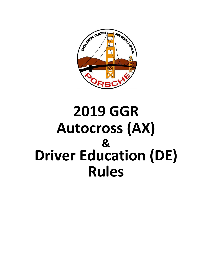

# **2019 GGR Autocross (AX) & Driver Education (DE) Rules**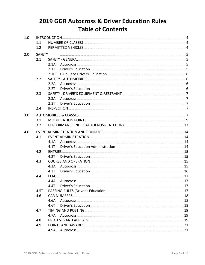# **2019 GGR Autocross & Driver Education Rules Table of Contents**

| 1.0 |               |              |  |
|-----|---------------|--------------|--|
|     | 1.1           |              |  |
|     | 1.2           |              |  |
| 2.0 | <b>SAFETY</b> |              |  |
|     | 2.1           |              |  |
|     |               | 2.1A         |  |
|     |               | 2.1T         |  |
|     |               | 2.1C         |  |
|     | 2.2           |              |  |
|     |               | 2.2A         |  |
|     |               | 2.2T         |  |
|     | 2.3           |              |  |
|     |               | 2.3A         |  |
|     |               | 2.3T         |  |
|     | 2.4           |              |  |
| 3.0 |               |              |  |
|     | 3.1           |              |  |
|     | 3.2           |              |  |
|     |               |              |  |
| 4.0 |               |              |  |
|     | 4.1           |              |  |
|     |               | 4.1A         |  |
|     |               | 4.1T         |  |
|     | 4.2           |              |  |
|     |               | 4.2T         |  |
|     | 4.3           |              |  |
|     |               | 4.3A         |  |
|     |               | 4.3T         |  |
|     | 4.4           |              |  |
|     |               | 4.4A<br>4.4T |  |
|     | 4.5T          |              |  |
|     | 4.6           |              |  |
|     |               | 4.6A         |  |
|     |               | 4.6T         |  |
|     | 4.7           |              |  |
|     |               | 4.7A         |  |
|     | 4.8           |              |  |
|     | 4.9           |              |  |
|     |               | 4.9A         |  |
|     |               |              |  |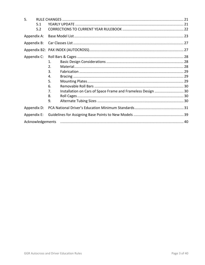| 5.          |     |                  |                                                              |  |
|-------------|-----|------------------|--------------------------------------------------------------|--|
|             | 5.1 |                  |                                                              |  |
|             | 5.2 |                  |                                                              |  |
| Appendix A: |     |                  |                                                              |  |
| Appendix B: |     |                  |                                                              |  |
|             |     |                  |                                                              |  |
| Appendix C: |     |                  |                                                              |  |
|             |     | 1.               |                                                              |  |
|             |     | $\overline{2}$ . |                                                              |  |
|             |     | 3.               |                                                              |  |
|             |     | 4.               |                                                              |  |
|             |     | .5.              |                                                              |  |
|             |     | 6.               |                                                              |  |
|             |     | 7.               | Installation on Cars of Space Frame and Frameless Design  30 |  |
|             |     | 8.               |                                                              |  |
|             |     | 9.               |                                                              |  |
| Appendix D: |     |                  |                                                              |  |
| Appendix E: |     |                  |                                                              |  |
|             |     |                  |                                                              |  |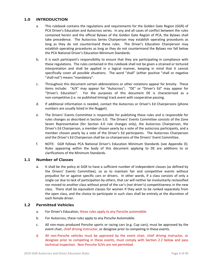## **1.0 INTRODUCTION**

- a. This rulebook contains the regulations and requirements for the Golden Gate Region (GGR) of PCA Driver's Education and Autocross series. In any and all cases of conflict between the rules contained herein and the official Bylaws of the Golden Gate Region of PCA, the Bylaws shall take precedence. The Autocross Series Chairperson may establish operating procedures as long as they do not countermand these rules. The Driver's Education Chairperson may establish operating procedures as long as they do not countermand the Bylaws nor fall below the PCA National Driver's Education Minimum Standards.
- b. It is each participant's responsibility to ensure that they are participating in compliance with these regulations. The rules contained in this rulebook shall not be given a strained or tortured interpretation and shall be applied in a logical manner, keeping in mind that it cannot specifically cover all possible situations. The word "shall" (either positive "shall or negative "shall not") means "mandatory".
- c. Throughout this document certain abbreviations or other notations appear for brevity. These items include: "A/X" may appear for "Autocross"; "DE" or "Driver's Ed" may appear for "Driver's Education". For the purposes of this document DE is characterized as a non‐competitive (i.e. no published timing) track event with cooperative passing.
- d. If additional information is needed, contact the Autocross or Driver's Ed Chairpersons (phone numbers are usually listed in the Nugget).
- e. The Drivers' Events Committee is responsible for publishing these rules and is responsible for rules changes as described in Section 5.0. The Drivers' Events Committee consists of the Zone Seven Representative (for Section 4.0 rule changes only), the Autocross Chairperson, the Driver's Ed Chairperson, a member chosen yearly by a vote of the autocross participants, and a member chosen yearly by a vote of the Driver's Ed participants. The Autocross Chairperson and the Driver's Ed Chairperson shall be co-chairpersons of the Drivers' Event Committee.
- f. NOTE: GGR follows PCA National Driver's Education Minimum Standards (see Appendix D). Rules appearing within the body of this document applying to DE are additions to or clarifications of the Minimum Standards.

#### **1.1 Number of Classes**

a. It shall be the policy at GGR to have a sufficient number of independent classes (as defined by the Drivers' Events Committee), so as to maintain fair and competitive events without prejudice for or against specific cars or drivers. In other words, if a class consists of only a single car due to lack of participation by others, that car will neither be involuntarily reclassified nor moved to another class without proof of the car's (not driver's) competitiveness in the new class. There shall be equivalent classes for women if they wish to be ranked separately from the open class, and the choice to participate in such class shall be entirely at the discretion of each female driver.

#### **1.2 Permitted Vehicles**

- a. For Driver's Education, these rules apply to any Porsche automobile.
- b. For Autocross, these rules apply to any Porsche Automobile.
- c. All non‐mass produced Porsche sports or racing cars (e.g. Cup cars), must be approved by the event chair, chief driving instructor, or designee prior to competing in these events.
- d. All non‐Porsche vehicles must be approved by the event chair, chief driving instructor, or designee prior to competing in these events, must comply with Section 2.2 below and pass technical inspection. Non‐Porsche SUVs are not permitted.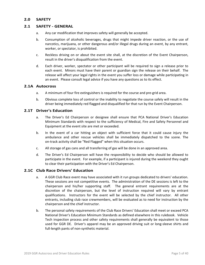# **2.0 SAFETY**

#### **2.1 SAFETY ‐ GENERAL**

- a. Any car modification that improves safety will generally be accepted.
- b. Consumption of alcoholic beverages, drugs that might impede driver reaction, or the use of narcotics, marijuana, or other dangerous and/or illegal drugs during an event, by any entrant, worker, or spectator, is prohibited.
- c. Reckless driving on or about the event site shall, at the discretion of the Event Chairperson, result in the driver's disqualification from the event.
- d. Each driver, worker, spectator or other participant will be required to sign a release prior to each event. Minors must have their parent or guardian sign the release on their behalf. The release will affect your legal rights in the event you suffer loss or damage while participating in an event. Please consult legal advice if you have any questions as to its effect.

#### **2.1A Autocross**

- a. A minimum of four fire extinguishers is required for the course and pre‐grid area.
- b. Obvious complete loss of control or the inability to negotiate the course safely will result in the driver being immediately red flagged and disqualified for that run by the Event Chairperson.

#### **2.1T Driver's Education**

- a. The Driver's Ed Chairperson or designee shall ensure that PCA National Driver's Education Minimum Standards with respect to the sufficiency of Medical, Fire and Safety Personnel and Equipment at the event site are met or exceeded.
- b. In the event of a car hitting an object with sufficient force that it could cause injury the ambulance and other rescue vehicles shall be immediately dispatched to the scene. The on‐track activity shall be "Red Flagged" when this situation occurs.
- c. All storage of gas cans and all transferring of gas will be done in an approved area.
- d. The Driver's Ed Chairperson will have the responsibility to decide who should be allowed to participate in the event. For example, if a participant is injured during the weekend they ought to clear their participation with the Driver's Ed Chairperson.

# **2.1C Club Race Drivers' Education**

- a. A GGR Club Race event may have associated with it run groups dedicated to drivers' education. These sessions are not competitive events. The administration of the DE sessions is left to the chairperson and his/her supporting staff. The general entrant requirements are at the discretion of the chairperson, but the level of instruction required will vary by entrant qualifications. Instructors for the event will be selected by the chief instructor. All other entrants, including club race crewmembers, will be evaluated as to need for instruction by the chairperson and the chief instructor.
- b. The personal safety requirements of the Club Race Drivers' Education shall meet or exceed PCA National Driver's Education Minimum Standards as defined elsewhere in this rulebook. Vehicle Tech inspection process and other safety requirements shall generally be equivalent to those used for GGR DE. Driver's apparel may be an approved driving suit or long‐sleeve shirts and full-length pants of non-synthetic material.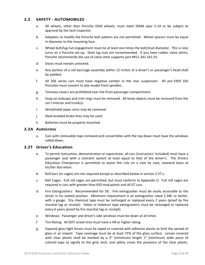# **2.2 SAFETY ‐ AUTOMOBILES**

- a. All wheels, other than Porsche OEM wheels, must meet SEMA spec 5‐1A or be subject to approval by the tech inspector.
- b. Adapters to modify the Porsche bolt pattern are not permitted. Wheel spacers must be equal in diameter to the mounting face.
- c. Wheel bolt/lug nut engagement must be at least one times the bolt/stud diameter. This is nine turns on a Porsche set-up. Steel lug nuts are recommended. If you have rubber valve stems, Porsche recommends the use of valve stem supports part #911.361.561.01.
- d. Doors must remain unlocked.
- e. Any portion of a roll bar/cage assembly within 12 inches of a driver's or passenger's head shall be padded.
- f. All 356 series cars must have negative camber in the rear suspension. All pre-1959 356 Porsches must convert to late model front spindles.
- g. Tonneau covers are prohibited over the front passenger compartment.
- h. Snap-on hubcaps and trim rings must be removed. All loose objects must be removed from the car's interior and trunk(s).
- i. Windshield wiper arms may be removed.
- j. Steel‐braided brake lines may be used.
- k. Batteries must be properly mounted.

#### **2.2A Autocross**

a. Cars with removable tops removed and convertibles with the top down must have the windows rolled down.

# **2.2T Driver's Education**

- a. To permit instruction, demonstration or supervision, all cars (instructors' included) must have a passenger seat with a restraint system at least equal to that of the driver's. The Drivers Education Chairperson is permitted to waive this rule on a case by case, seasonal basis at his/her discretion.
- b. Roll bars (or cages) are not required except as described below in section 2.2T.c.
- c. Roll Cages: Full roll cages are permitted, but must conform to Appendix D. Full roll cages are required in cars with greater than 650 mod points and all GT cars.
- d. Fire Extinguishers: Recommended for DE. Fire extinguisher must be easily accessible to the driver in his seated position. Minimum requirement is an extinguisher rated 2.5BC or better, with a gauge. Dry chemical type must be recharged or replaced every 2 years (proof by fire marshal tag or receipt). Halon or Halatron type extinguishers must be recharged or replaced every 6 years (proof by fire marshal tag or receipt).
- e. Windows: Passenger and driver's side windows must be down at all times.
- f. Tire Rating: All DOT street tires must have a HR or higher rating.
- g. Exposed glass light lenses must be taped or covered with adhesive plastic to limit the spread of glass in an impact. Tape coverage must be at least 75% of the glass surface. Lenses covered with clear plastic shall be marked by a 3" (minimum) length 1" (minimum) wide piece of colored tape to signify to the grid, tech, and safety crews the presence of the clear plastic.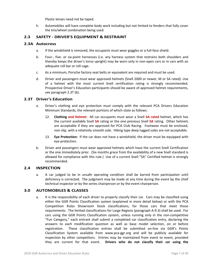Plastic lenses need not be taped.

h. Automobiles will have complete body work including but not limited to fenders that fully cover the tire/wheel combination being used.

# **2.3 SAFETY ‐ DRIVER'S EQUIPMENT & RESTRAINT**

#### **2.3A Autocross**

- a. If the windshield is removed, the occupants must wear goggles or a full‐face shield.
- b. Four‐, five‐ or six‐point harnesses (i.e. any harness system that restrains both shoulders and thereby keeps the driver's torso upright) may be worn only in non‐open cars or in cars with an adequate roll bar or roll cage.
- c. As a minimum, Porsche factory seat belts or equivalent are required and must be used.
- d. Driver and passengers must wear approved helmets (Snell 2000 or newer, M or SA rated). Use of a helmet with the most current Snell certification rating is strongly recommended. Prospective Driver's Education participants should be aware of approved helmet requirements, see paragraph 2.3T (b).

#### **2.3T Driver's Education**

- a. Driver's clothing and eye protection must comply with the relevant PCA Drivers Education Minimum Standards, the relevant portions of which state as follows:
	- 12. **Clothing and Helmet:** All car occupants must wear a Snell **SA rated** helmet, which has the current available Snell **SA** rating or the one previous Snell **SA** rating. Other helmets are acceptable if they are approved for PCA Club Racing. Footwear must be enclosed, non‐slip, with a relatively smooth sole. Hiking type deep lugged soles are not acceptable.
	- 13. **Eye Protection:** If the car does not have a windshield, the driver must be equipped with eye protection.
- b. Driver and passengers must wear approved helmets which have the current Snell Certification or the one immediately prior. (Six months grace from the availability of a new Snell standard is allowed for compliance with this rule.) Use of a current Snell "SA" Certified helmet is strongly recommended.

#### **2.4 INSPECTION**

a. A car judged to be in unsafe operating condition shall be barred from participation until deficiency is corrected. The judgment may be made at any time during the event by the chief technical inspector or by the series chairperson or by the event chairperson.

# **3.0 AUTOMOBILES & CLASSES**

a. It is the responsibility of each driver to properly classify their car. Cars may be classified using either the GGR Points Classification system (explained in more detail below) or with the PCA Competition Rules Showroom Stock classifications, for those cars that meet those requirements. The limited classifications for Large Regions (paragraph A‐9.3) shall be used. For cars using the GGR Points Classification system, unless running only in the non-competitive "Fun Category," each entrant shall submit a completed car classification entry, declaring the answers to each modification question as well as base model selection, on or before registration. These classification entries shall be submitted on‐line via GGR's Points Classification System available from www.pca‐ggr.org and will be publicly available for inspection by other competitors. Entries may be maintained from event to event, provided they are current for that event. **Drivers who do not classify their car using the**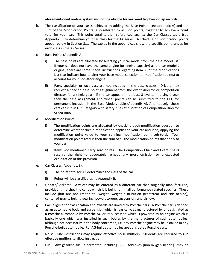#### **aforementioned on‐line system will not be eligible for year‐end trophies or lap records.**

- b. The classification of your car is achieved by adding the Base Points (see appendix A) and the sum of the Modification Points (also referred to as mod points) together to achieve a point total for your car. This point total is then referenced against the Car Classes table (see Appendix B) to determine your car class for the AX series. A schedule of modification points appear below in Section 3.1. The tables in the appendices show the specific point ranges for each class in the AX Series.
- c. Base Points (Appendix A):
	- i) The base points are allocated by selecting your car model from the base model list. If your car does not have the same engine (or engine capacity) as the car model's original, there are some special instructions regarding item 39 of the Modifications List that indicate how to alter your base model selection (or modification points) to account for your non‐stock engine.
	- ii) Rare, specialty, or race cars are not included in the base classes. Drivers may request a specific base point assignment from the event director or competition director for a single year. If the car appears in at least 3 events in a single year then the base assignment and wheel points can be submitted to the DEC for permanent inclusion in the Base Models table (Appendix A). Alternatively, these cars can run in Fun Category with safety rules at discretion of Competition Director or designee.
- d. Modification Points:
	- i) The modification points are allocated by checking each modification question to determine whether such a modification applies to your car and if so, applying the modification point value to your running modification point sub-total. Your modification points total is then the sum of all the modification points that apply to your car.
	- ii) Items not mentioned carry zero points. The Competition Chair and Event Chairs reserve the right to adequately remedy any gross omission or unexpected exploitation of this provision.
- e. Car Classes (Appendix B):
	- i) The point total for AX determines the class of the car.
	- ii) Points will be classified using Appendix B.
- f. Update/Backdate: Any car may be entered as a different car than originally manufactured, provided it matches the car as which it is being run in all performance-related specifics. These include (but are not limited to) weight, weight distribution (front/rear and side‐to‐side), center‐of‐gravity height, gearing, power, torque, suspension, and airflow.
- g. Cars eligible for classification and awards are limited to Porsche cars. A Porsche car is defined as an automobile body and suspension which is, basically, as manufactured by or designated as a Porsche automobile by Porsche AG or its successor, which is powered by an engine which is basically one which was installed in such bodies by the manufacturer of such automobiles, although not necessarily in the body concerned, i.e. any Porsche engine may be installed in any Porsche‐built automobile. Ruf AG‐built automobiles are considered Porsche cars.
- h. Noise: Site Restrictions may require effective noise mufflers. Students are required to run effective mufflers to allow instruction.
- i. Fuel: Any gasoline fuel is permitted, including E85. Additives (non-oxygen bearing) may be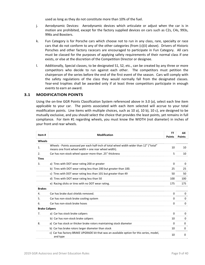used as long as they do not constitute more than 10% of the fuel.

- j. Aerodynamic Devices: Aerodynamic devices which articulate or adjust when the car is in motion are prohibited, except for the factory supplied devices on cars such as C2s, C4s, 993s, 996s and Boxsters.
- k. Fun Category is for Porsche cars which choose not to run in any class, rare, specialty or race cars that do not conform to any of the other categories (from (c)(ii) above). Drivers of Historic Porsches and other factory racecars are encouraged to participate in Fun Category. All cars must be classed for the purposes of applying safety requirements of their normal class if one exists, or else at the discretion of the Competition Director or designee.
- l. Additionally, Special classes, to be designated S1, S2, etc., can be created by any three or more competitors who decide to run against each other. The competitors must petition the chairperson of the series before the end of the first event of the season. Cars will comply with the safety regulations of the class they would normally fall from the designated classes. Year-end trophies shall be awarded only if at least three competitors participate in enough events to earn an award.

#### **3.1 MODIFICATION POINTS**

Using the on‐line GGR Points Classification System referenced above in 3.0 (a), select each line item applicable to your car. The points associated with each item selected will accrue to your total modification points. Line items with multiple choices, such as 10 a), 10 b), 10 c), are designed to be mutually exclusive, and you should select the choice that provides the least points, yet remains in full compliance. For item #1 regarding wheels, you must know the WIDTH (not diameter) in inches of your front and rear wheels.

| Item#                 | <b>Modification</b>                                                                                                                              | TΤ<br><b>Points</b> | AX<br><b>Points</b> |
|-----------------------|--------------------------------------------------------------------------------------------------------------------------------------------------|---------------------|---------------------|
| Wheels                |                                                                                                                                                  |                     |                     |
| 1.                    | Wheels - Points assessed per each half-inch of total wheel width wider than 12" ("total"<br>means one front wheel width + one rear wheel width). | 10                  | 10                  |
| 2.                    | Car has non-stock wheel spacer more than .25" thickness                                                                                          | 5                   | 10                  |
| <b>Tires</b>          |                                                                                                                                                  |                     |                     |
| 3.                    | a) Tires with DOT wear rating 200 or greater                                                                                                     | 0                   | 0                   |
|                       | b) Tires with DOT wear rating less than 200 but greater than 100.                                                                                | 25                  | 25                  |
|                       | c) Tires with DOT wear rating less than 101 but greater than 49                                                                                  | 50                  | 50                  |
|                       | d) Tires with DOT wear rating less than 50                                                                                                       | 100                 | 100                 |
|                       | e) Racing slicks or tires with no DOT wear rating.                                                                                               | 175                 | 175                 |
| <b>Brakes</b>         |                                                                                                                                                  |                     |                     |
| 4.                    | Car has brake dust shields removed.                                                                                                              | $\Omega$            | 0                   |
| 5.                    | Car has non-stock brake cooling system                                                                                                           | 0                   | $\Omega$            |
| 6.                    | Car has non-stock brake hoses                                                                                                                    | 0                   | $\Omega$            |
| <b>Brake Calipers</b> |                                                                                                                                                  |                     |                     |
| 7.                    | a) Car has stock brake calipers                                                                                                                  | $\Omega$            | $\Omega$            |
|                       | b) Car has non-stock brake calipers                                                                                                              | 10                  | $\Omega$            |
| 8.                    | a) Car has stock or thicker brake rotors maintaining stock diameter                                                                              | $\Omega$            | 0                   |
|                       | b) Car has brake rotors larger diameter than stock                                                                                               | 10                  | $\Omega$            |
|                       | c) Car has factory BRAKE UPGRADE kit that was an available option for this series, model,<br>and type                                            | 10                  | $\Omega$            |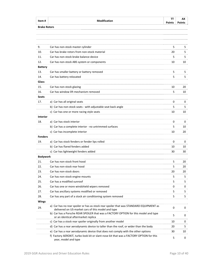| Item #              | <b>Modification</b> | <b>Points</b> | AX<br>Points |
|---------------------|---------------------|---------------|--------------|
| <b>Brake Rotors</b> |                     |               |              |

| 9.              | Car has non-stock master cylinder                                                                                                            | 5           | 5  |
|-----------------|----------------------------------------------------------------------------------------------------------------------------------------------|-------------|----|
| 10.             | Car has brake rotors from non-stock material                                                                                                 | 20          | 5  |
| 11.             | Car has non-stock brake balance device                                                                                                       | 5           | 5  |
| 12.             | Car has non-stock ABS system or components                                                                                                   | 10          | 10 |
| <b>Battery</b>  |                                                                                                                                              |             |    |
| 13.             | Car has smaller battery or battery removed                                                                                                   | 5           | 5  |
| 14.             | Car has battery relocated                                                                                                                    | 5           | 5  |
| Glass           |                                                                                                                                              |             |    |
| 15.             | Car has non-stock glazing                                                                                                                    | 10          | 20 |
| 16.             | Car has window lift mechanism removed                                                                                                        | 5           | 10 |
| <b>Seats</b>    |                                                                                                                                              |             |    |
| 17.             | a) Car has all original seats                                                                                                                | $\Omega$    | 0  |
|                 | b) Car has non-stock seats - with adjustable seat back angle                                                                                 | 5           | 5  |
|                 | c) Car has one or more racing style seats                                                                                                    | 10          | 10 |
| <b>Interior</b> |                                                                                                                                              |             |    |
| 18.             | a) Car has stock interior                                                                                                                    | 0           | 0  |
|                 | b) Car has a complete interior - no untrimmed surfaces                                                                                       | 5           | 10 |
|                 | c) Car has incomplete interior                                                                                                               | 10          | 20 |
| <b>Fenders</b>  |                                                                                                                                              |             |    |
| 19.             | a) Car has stock fenders or fender lips rolled                                                                                               | $\Omega$    | 0  |
|                 | b) Car has flared fenders added                                                                                                              | 10          | 10 |
|                 | c) Car has lightweight fenders added                                                                                                         | 30          | 30 |
| <b>Bodywork</b> |                                                                                                                                              |             |    |
| 21.             | Car has non-stock front hood                                                                                                                 | 5           | 20 |
| 22.             | Car has non-stock rear hood                                                                                                                  | 5           | 20 |
| 23.             | Car has non-stock doors                                                                                                                      | 20          | 20 |
| 24.             | Car has non-stock engine mounts                                                                                                              | 5           | 5  |
| 25.             | Car has a modified sunroof                                                                                                                   | 5           | 5  |
| 26.             | Car has one or more windshield wipers removed                                                                                                | $\Omega$    | 0  |
| 27.             | Car has ancillary systems modified or removed                                                                                                | 5           | 5  |
| 28.             | Car has any part of a stock air conditioning system removed                                                                                  | 5           | 5  |
| <b>Wings</b>    |                                                                                                                                              |             |    |
| 29.             | a) Car has no rear spoiler or has as stock rear spoiler that was STANDARD EQUIPMENT as<br>delivered on US-market cars of this model and type | $\mathbf 0$ | 0  |
|                 | b) Car has a Porsche REAR SPOILER that was a FACTORY OPTION for this model and type<br>or an identical aftermarket replica                   | 5           | 0  |
|                 | c) Car has a stock rear spoiler originally from another model                                                                                | 10          | 0  |
|                 | d) Car has a rear aerodynamic device to taller than the roof, or wider than the body                                                         | 20          | 5  |
|                 | e) Car has a rear aerodynamic device that does not comply with the other options                                                             | 30          | 10 |
|                 | f) Factory AEROKIT, turbo-look kit or slant-nose kit that was a FACTORY OPTION for this<br>year, model and type                              | 5           | 0  |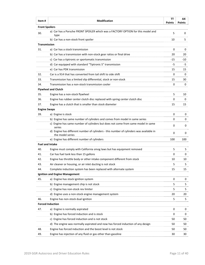| ltem #                 | <b>Modification</b>                                                                                         | TΤ<br>Points | АΧ<br><b>Points</b> |
|------------------------|-------------------------------------------------------------------------------------------------------------|--------------|---------------------|
| <b>Front Spoilers</b>  |                                                                                                             |              |                     |
| 30.                    | a) Car has a Porsche FRONT SPOILER which was a FACTORY OPTION for this model and<br>type                    | 5            | 0                   |
|                        | b) Car has a non-stock front spoiler                                                                        | 10           | 5                   |
| Transmission           |                                                                                                             |              |                     |
| 31.                    | a) Car has a stock transmission                                                                             | 0            | 0                   |
|                        | b) Car has a transmission with non-stock gear ratios or final drive                                         | 20           | 20                  |
|                        | c) Car has a tiptronic or sportomatic transmission                                                          | -15          | -10                 |
|                        | d) Car equipped with standard "Tiptronic S" transmission                                                    | -5           | -5                  |
|                        | e) Car has PDK transmission                                                                                 | 15           | 15                  |
| 32.                    | Car is a 914 that has converted from tail shift to side shift                                               | 0            | 0                   |
| 33.                    | Transmission has a limited slip differential, stock or non-stock                                            | 15           | 30                  |
| 34.                    | Transmission has a non-stock transmission cooler                                                            | 0            | 0                   |
|                        | <b>Flywheel and Clutch</b>                                                                                  |              |                     |
| 35.                    | Engine has a non-stock flywheel                                                                             | 5            | 10                  |
| 36.                    | Engine has rubber center clutch disc replaced with spring center clutch disc                                | 0            | 0                   |
| 37.                    | Engine has a clutch that is smaller than stock diameter                                                     | 15           | 15                  |
| <b>Engine Swaps</b>    |                                                                                                             |              |                     |
| 39.                    | a) Engine is stock                                                                                          | 0            | 0                   |
|                        | b) Engine has same number of cylinders and comes from model in same series                                  | 0            | 0                   |
|                        | c) Engine has same number of cylinders but does not come from same model in same<br>series                  | 0            | 0                   |
|                        | d) Engine has different number of cylinders - this number of cylinders was available in<br>the model series | 0            | 0                   |
|                        | e) Engine has different number of cylinders                                                                 | 100          | 100                 |
| <b>Fuel and Intake</b> |                                                                                                             |              |                     |
| 40.                    | Engine must comply with California smog laws but has equipment removed                                      | 5            | 5                   |
| 41.                    | Car has fuel tank less than 15 gallons                                                                      | 0            | 0                   |
| 42.                    | Engine has throttle body or other intake component different from stock                                     | 10           | 10                  |
| 43.                    | Air cleaner or housing, or air inlet ducting is not stock                                                   | 5            | 5                   |
| 44.                    | Complete induction system has been replaced with alternate system                                           | 15           | 15                  |
|                        | Ignition and Engine Management                                                                              |              |                     |
| 45.                    | a) Engine has stock ignition system                                                                         | 0            | 0                   |
|                        | b) Engine management chip is not stock                                                                      | 5            | 5                   |
|                        | c) Engine has non-stock rev limiter                                                                         | 5            | 5                   |
|                        | d) Engine uses a non-stock engine management system                                                         | 20           | 20                  |
| 46.                    | Engine has non-stock dual ignition                                                                          | 5            | 5                   |
|                        | <b>Forced Induction</b>                                                                                     |              |                     |
| 47.                    | a) Engine is normally aspirated                                                                             | 0            | 0                   |
|                        | b) Engine has forced induction and is stock                                                                 | 0            | 0                   |
|                        | c) Engine has forced induction and is not stock                                                             | 50           | 50                  |
|                        | d) The engine was normally aspirated and now has forced induction of any design                             | 50           | 50                  |
| 48.                    | Engine has forced induction and the boost level is not stock                                                | 50           | 50                  |
| 49.                    | Engine has injection of any fluid or gas other than gasoline                                                | 30           | 30                  |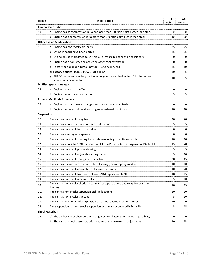| Item #     | <b>Modification</b>                                                                                         | TΤ<br><b>Points</b> | AX<br>Points |
|------------|-------------------------------------------------------------------------------------------------------------|---------------------|--------------|
|            | <b>Compression Ratio</b>                                                                                    |                     |              |
| 50.        | a) Engine has as compression ratio not more than 1.0 ratio point higher than stock                          | 0                   | 0            |
|            | b) Engine has a compression ratio more than 1.0 ratio point higher than stock                               | 30                  | 30           |
|            | <b>Other Engine Modifications</b>                                                                           |                     |              |
| 51.        | a) Engine has non-stock camshafts                                                                           | 25                  | 25           |
|            | b) Cylinder heads have been ported                                                                          | 25                  | 25           |
|            | c) Engine has been updated to Carrera oil pressure fed cam chain tensioners                                 | 0                   | 0            |
|            | d) Engine has a non-stock oil cooler or water cooling system                                                | 0                   | 0            |
|            | e) Factory optional non-turbo POWERKIT engine (i.e. X51)                                                    | 25                  | 10           |
|            | f) Factory optional TURBO POWERKIT engine                                                                   | 30                  | 5            |
|            | g) TURBO car has any factory option package not described in item 51.f that raises<br>maximum engine output | 10                  | 5            |
|            | <b>Mufflers</b> (per engine type)                                                                           |                     |              |
| 55.        | a) Engine has a stock muffler                                                                               | 0                   | 0            |
|            | b) Engine has as non-stock muffler                                                                          | 5                   | 5            |
|            | <b>Exhaust Manifolds / Headers</b>                                                                          |                     |              |
| 56.        | a) Engine has stock heat exchangers or stock exhaust manifolds                                              | 0                   | 0            |
|            | b) Engine has non-stock heat exchangers or exhaust manifolds                                                | 10                  | 10           |
| Suspension |                                                                                                             |                     |              |
| 57.        | The car has non-stock sway bars                                                                             | 20                  | 20           |
| 58.        | The car has a non-stock front or rear strut tie bar                                                         | 5                   | 5            |
| 59.        | The car has non-stock turbo tie rod ends                                                                    | 0                   | 0            |
| 60.        | The car has steering rack spacers                                                                           | 0                   | 0            |
| 61.        | The car has non-stock steering track rods - excluding turbo tie rod ends                                    | 10                  | 10           |
| 62.        | The car has a Porsche SPORT suspension kit or a Porsche Active Suspension (PASM) kit.                       | 15                  | 20           |
| 63.        | The car has non-stock power steering                                                                        | 5                   | 5            |
| 64.        | The car has non-stock adjustable spring plates                                                              | 5                   | 10           |
| 65.        | The car has non-stock springs or torsion bars                                                               | 30                  | 45           |
| 66.        | The car has torsion bars replace with coil springs, or coil springs added                                   | 10                  | 10           |
| 67.        | The car has non-stock adjustable coil spring platforms                                                      | 10                  | 20           |
| 68.        | The car has non-stock front control arms (944 replacements OK)                                              | 10                  | 15           |
| 69.        | The car has non-stock rear control arms                                                                     | 5                   | 10           |
| 70.        | The car has non-stock spherical bearings - except strut top and sway bar drag link<br>bearings.             | 10                  | 15           |
| 71.        | The car has non-stock suspension pick-up locations                                                          | 20                  | 30           |
| 72.        | The car has non-stock strut tops                                                                            | 5                   | 10           |
| 73.        | The car has any non-stock suspension parts not covered in other choices.                                    | 10                  | 20           |
| 74.        | The suspension has non-stock suspension bushings not covered in item 70.                                    | 5                   | 15           |
|            | <b>Shock Absorbers</b>                                                                                      |                     |              |
| 75.        | a) The car has shock absorbers with single external adjustment or no adjustability                          | 0                   | 0            |
|            | b) The car has shock absorbers with greater than one external adjustment                                    | 10                  | 15           |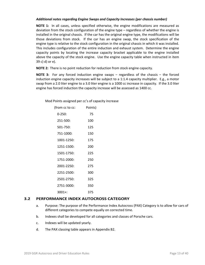#### *Additional notes regarding Engine Swaps and Capacity Increases (per chassis number)*

**NOTE 1:** In all cases, unless specified otherwise, the engine modifications are measured as deviation from the stock configuration of the engine type – regardless of whether the engine is installed in the original chassis. If the car has the original engine type, the modifications will be those deviations from stock. If the car has an engine swap, the stock specification of the engine type is relative to the stock configuration in the original chassis in which it was installed. This includes configuration of the entire induction and exhaust system. Determine the engine capacity points by locating the increase capacity bracket applicable to the engine installed above the capacity of the stock engine. Use the engine capacity table when instructed in item 39 c) d) or e).

**NOTE 2:** There is no point reduction for reduction from stock engine capacity.

**NOTE 3:** For any forced induction engine swaps – regardless of the chassis – the forced induction engine capacity increases will be subject to a 1:1.4 capacity multiplier. E.g., a motor swap from a 2.0 liter engine to a 3.0 liter engine is a 1000 cc increase in capacity. If the 3.0 liter engine has forced induction the capacity increase will be assessed as 1400 cc.

Mod Points assigned per cc's of capacity increase

| (from cc to cc: | Points) |
|-----------------|---------|
| 0-250:          | 75      |
| 251-500:        | 100     |
| 501-750:        | 125     |
| 751-1000:       | 150     |
| 1001-1250:      | 175     |
| 1251-1500:      | 200     |
| 1501-1750:      | 225     |
| 1751-2000:      | 250     |
| 2001-2250:      | 275     |
| 2251-2500:      | 300     |
| 2501-2750:      | 325     |
| 2751-3000:      | 350     |
| $3001 +$ :      | 375     |

# **3.2 PERFORMANCE INDEX AUTOCROSS CATEGORY**

- a. Purpose: The purpose of the Performance Index Autocross (PAX) Category is to allow for cars of different categories to compete equally on corrected time.
- b. Indexes shall be developed for all categories and classes of Porsche cars.
- c. Indexes will be updated yearly.
- d. The PAX classing table appears in Appendix B2.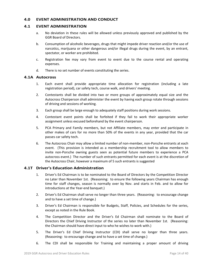# **4.0 EVENT ADMINISTRATION AND CONDUCT**

#### **4.1 EVENT ADMINISTRATION**

- a. No deviation in these rules will be allowed unless previously approved and published by the GGR Board of Directors.
- b. Consumption of alcoholic beverages, drugs that might impede driver reaction and/or the use of narcotics, marijuana or other dangerous and/or illegal drugs during the event, by an entrant, spectator, or worker are prohibited.
- c. Registration fee may vary from event to event due to the course rental and operating expenses.
- d. There is no set number of events constituting the series.

#### **4.1A Autocross**

- 1. Each event shall provide appropriate time allocation for registration (including a late registration period), car safety tech, course walk, and drivers' meeting.
- 2. Contestants shall be divided into two or more groups of approximately equal size and the Autocross Chairperson shall administer the event by having each group rotate through sessions of driving and sessions of working.
- 3. Each group shall be large enough to adequately staff positions during work sessions.
- 4. Contestant event points shall be forfeited if they fail to work their appropriate worker assignment unless excused beforehand by the event chairperson.
- 5. PCA Primary and Family members, but not Affiliate members, may enter and participate in other makes of cars for no more than 50% of the events in any year, provided that the car passes car safety tech.
- 6. The Autocross Chair may allow a limited number of non‐member, non‐Porsche entrants at each event. (This provision is intended as a membership recruitment tool to allow members to invite non‐Porsche owning guests seen as potential future members to experience a PCA autocross event.) The number of such entrants permitted for each event is at the discretion of the Autocross Chair, however a maximum of 5 such entrants is suggested

#### **4.1T Driver's Education Administration**

- 1. Driver's Ed Chairman is to be nominated to the Board of Directors by the Competition Director no Later than November 1st. (Reasoning: to ensure the following years Chairman has enough time for staff changes, season is normally over by Nov. and starts in Feb. and to allow for introductions at the Year-end banquet.)
- 2. Driver's Ed Chairman shall serve no longer than three years. (Reasoning: to encourage change and to have a set time of change.)
- 3. Driver's Ed Chairman is responsible for Budgets, Staff, Policies, and Schedules for the series, except as noted in the Rule Book.
- 4. The Competition Director and the Driver's Ed Chairman shall nominate to the Board of Directors the Chief Driving Instructor of the series no later than November 1st. (Reasoning: the Chairman should have direct input to who he wishes to work with.)
- 5. The Driver's Ed Chief Driving Instructor (CDI) shall serve no longer than three years. (Reasoning: to encourage change and to have a set time of change.)
- 6. The CDI shall be responsible for Training and maintaining a proper amount of driving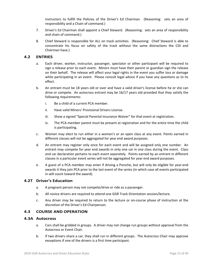instructors to fulfill the Policies of the Driver's Ed Chairman. (Reasoning: sets an area of responsibility and a Chain of command.)

- 7. Driver's Ed Chairman shall appoint a Chief Steward. (Reasoning: sets an area of responsibility and chain of command.)
- 8. Chief Steward is responsible for ALL on track activities. (Reasoning: Chief Steward is able to concentrate his focus on safety of the track without the same distractions the CDI and Chairman have.)

#### **4.2 ENTRIES**

- a. Each driver, worker, instructor, passenger, spectator or other participant will be required to sign a release prior to each event. Minors must have their parent or guardian sign the release on their behalf. The release will affect your legal rights in the event you suffer loss or damage while participating in an event. Please consult legal advice if you have any questions as to its effect.
- b. An entrant must be 18 years old or over and have a valid driver's license before he or she can drive or compete. An autocross entrant may be 16/17 years old provided that they satisfy the following requirements:
	- i. Be a child of a current PCA member.
	- ii. Have valid Minors' Provisional Drivers License.
	- iii. Show a signed "Special Parental Insurance Waiver" for that event at registration.
	- iv. The PCA member parent must be present at registration and for the entire time the child is participating.
- c. Women may elect to run either in a women's or an open class at any event. Points earned in different classes will not be aggregated for year end award purposes.
- d. An entrant may register only once for each event and will be assigned only one number. An entrant may compete for year end awards in only one car in one class during the event. Class and car declaration pertains to each event separately. Points earned by an entrant in different classes in a particular event series will not be aggregated for year end award purposes.
- e. A guest of a PCA member may enter if driving a Porsche, but will only be eligible for year-end awards it they join PCA prior to the last event of the series (in which case all events participated in will count toward the award).

#### **4.2T Driver's Education**

- a. A pregnant person may not compete/drive or ride as a passenger.
- b. All novice drivers are required to attend one GGR Track Orientation session/lecture.
- c. Any driver may be required to return to the lecture or on‐course phase of instruction at the discretion of the Driver's Ed Chairperson.

# **4.3 COURSE AND OPERATION**

#### **4.3A Autocross**

- a. Cars shall be gridded in groups. A driver may not change run groups without approval from the Autocross or Event Chair.
- b. If two drivers share a car, they shall run in different groups. The Autocross Chair may approve exceptions if one of the drivers is a first time participant.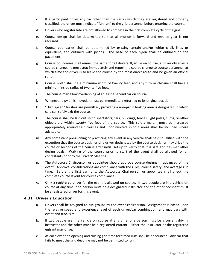- c. If a participant drives any car other than the car in which they are registered and properly classified, the driver must indicate "fun run" to the grid personnel before entering the course.
- d. Drivers who register late are not allowed to compete in the first complete cycle of the grid.
- e. Course design shall be determined so that all motion is forward and reverse gear is not required.
- f. Course boundaries shall be determined by existing terrain and/or white chalk lines or equivalent, and outlined with pylons. The base of each pylon shall be outlined on the pavement.
- g. Course boundaries shall remain the same for all drivers. If, while on course, a driver observes a course change, he must stop immediately and report the course change to course personnel, at which time the driver is to leave the course by the most direct route and be given an official re‐run.
- h. Course width shall be a minimum width of twenty feet, and any turn or chicane shall have a minimum inside radius of twenty‐five feet.
- i. The course may allow overlapping of at least a second car on course.
- j. Whenever a pylon is moved, it must be immediately returned to its original position.
- k. "High speed" finishes are permitted, providing a non‐panic braking area is designated in which cars can safely exit the course.
- l. The course shall be laid out so no spectators, cars, buildings, fences, light poles, curbs, or other objects are within twenty five feet of the course. This safety margin must be increased appropriately around fast courses and unobstructed spinout areas shall be included where advisable.
- m. Any contestant pre‐running or practicing any event in any vehicle shall be disqualified with the exception that the course designer or a driver designated by the course designer may drive the course or sections of the course after initial set up to verify that it is safe and has met other design goals. Walking of the course prior to start of the event shall be allowed for all contestants prior to the Drivers' Meeting.
- n. The Autocross Chairperson or appointee should approve course designs in advanced of the event. Approval considerations are compliance with the rules, course safety, and average run time. Before the first car runs, the Autocross Chairperson or appointee shall check the complete course layout for course compliance.
- o. Only a registered driver for the event is allowed on course. If two people are in a vehicle on course at any time, one person must be a designated instructor and the other occupant must be a registered driver for this event.

#### **4.3T Driver's Education**

- a. Drivers shall be assigned to run groups by the event chairperson. Assignment is based upon the relative speed and experience level of each driver/car combination, and may vary with event and track site.
- b. If two people are in a vehicle on course at any time, one person must be a current driving instructor and the other must be a registered entrant. Either the instructor or the registered entrant may drive.
- c. At each event an opening and closing grid time for timed runs shall be announced. Any car that fails to meet the grid deadline may not be permitted to run.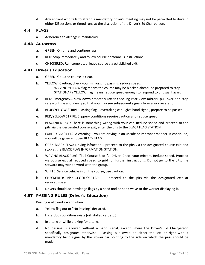d. Any entrant who fails to attend a mandatory driver's meeting may not be permitted to drive in either DE sessions or timed runs at the discretion of the Driver's Ed Chairperson.

#### **4.4 FLAGS**

a. Adherence to all flags is mandatory.

#### **4.4A Autocross**

- a. GREEN: On time and continue laps.
- b. RED: Stop immediately and follow course personnel's instructions.
- c. CHECKERED: Run completed, leave course via established exit.

#### **4.4T Driver's Education**

- a. GREEN: Go ...the course is clear.
- b. YELLOW: Caution, check your mirrors, no passing, reduce speed. WAVING YELLOW flag means the course may be blocked ahead; be prepared to stop. STATIONARY YELLOW flag means reduce speed enough to respond to unusual hazard.
- c. RED: Emergency... slow down smoothly (after checking rear view mirror), pull over and stop safely off line and ideally so that you may see subsequent signals from a worker station.
- d. BLUE/YELLOW STRIPE: Passing flag ...overtaking car ...give hand signal, prepare to be passed.
- e. RED/YELLOW STRIPE: Slippery conditions require caution and reduce speed.
- f. BLACK/RED DOT: There is something wrong with your car. Reduce speed and proceed to the pits via the designated course exit, enter the pits to the BLACK FLAG STATION.
- g. FURLED BLACK FLAG: Warning ...you are driving in an unsafe or improper manner. If continued, you will be given an open BLACK FLAG.
- h. OPEN BLACK FLAG: Driving infraction... proceed to the pits via the designated course exit and stop at the BLACK FLAG INFORMATION STATION.
- i. WAVING BLACK FLAG: "Full‐Course Black"… Driver: Check your mirrors. Reduce speed. Proceed via course exit at reduced speed to grid for further instructions. Do not go to the pits; the steward may want a word with the group.
- j. WHITE: Service vehicle in on the course, use caution.
- k. CHECKERED: Finish ...COOL OFF LAP proceed to the pits via the designated exit at reduced speed.
- l. Drivers should acknowledge flags by a head nod or hand wave to the worker displaying it.

# **4.5T PASSING RULES (Driver's Education)**

Passing is allowed except when:

- a. Yellow flag out or "No Passing" declared.
- b. Hazardous condition exists (oil, stalled car, etc.)
- c. In a turn or while braking for a turn.
- d. No passing is allowed without a hand signal, except where the Driver's Ed Chairperson specifically designates otherwise. Passing is allowed on either the left or right with a mandatory hand signal by the slower car pointing to the side on which the pass should be made.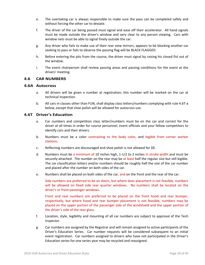- e. The overtaking car is always responsible to make sure the pass can be completed safely and without forcing the other car to deviate.
- f. The driver of the car being passed must signal and ease off their accelerator. All hand signals must be made outside the driver's window and very clear to any person viewing. Cars with window nets must be able to signal freely outside the car.
- g. Any driver who fails to make use of their rear view mirrors, appears to be blocking another car seeking to pass or fails to observe the passing flag will be BLACK FLAGGED.
- h. Before entering the pits from the course, the driver must signal by raising his closed fist out of the window.
- i. The event chairperson shall review passing areas and passing conditions for the event at the drivers' meeting.

#### **4.6 CAR NUMBERS**

#### **4.6A Autocross**

- a. All drivers will be given a number at registration; this number will be marked on the car at technical inspection.
- b. All cars in classes other than FUN, shall display class letters/numbers complying with rule 4.6T-a below, except that shoe polish will be allowed for autocross use.

#### **4.6T Driver's Education**

- a. Car numbers and competition class letter/numbers must be on the car and correct for the driver at all times in order for course personnel, event officials and your fellow competitors to identify cars and their drivers.
- b. Numbers must be a color contrasting to the body color, and legible from corner worker stations.
- c. Reflecting numbers are discouraged and shoe polish is not allowed for DE.
- d. Numbers must be a minimum of 10 inches high, 1-1/2 to 2 inches in stroke width and must be securely attached. The number on the rear may be at least half the regular size but still legible. The car classification letters and/or numbers should be roughly half the size of the car number and placed after the number on both sides of the car.
- e. Numbers shall be placed on both sides of the car, and on the front and the rear of the car.

Side numbers are preferred to be on doors, but where door placement is not feasible, numbers will be allowed on fixed side rear quarter windows. No numbers shall be located on the driver's or front passenger windows.

Front and rear numbers are preferred to be placed on the front hood and rear bumper, respectively, but where hood and rear bumper placement is not feasible, numbers may be placed on the upper portion of the passenger side of the windshield and the upper portion of the driver's side of the rear glass.

- f. Location, style, legibility and mounting of all car numbers are subject to approval of the Tech Inspector.
- g. Car numbers are assigned by the Registrar and will remain assigned to active participants of the Driver's Education Series. Car number requests will be considered subsequent to an initial event registration. Car numbers assigned to drivers who have not participated in the Driver's Education series for one series year may be recycled and reassigned.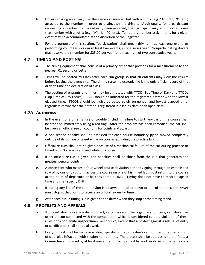- h. Drivers sharing a car may use the same car number but with a suffix (e.g. "A" , "L", "X" etc.) attached to the number in order to distinguish the drivers. Additionally, for a participant requesting a number that has already been assigned, the participant may also choose to use that number with a suffix (e.g. "A", "L", "X" etc.). Temporary number assignments for a given event may be accommodated at the discretion of the Registrar.
- i. For the purpose of this section, "participation" shall mean driving in at least one event, or performing volunteer work in at least two events, in one series year. Nonparticipating drivers may reserve their number for \$25.00 per year for a maximum of two consecutive years.

# **4.7 TIMING AND POSTING**

- a. The timing equipment shall consist of a primary timer that provides for a measurement to the nearest .01 second or better.
- b. Times will be posted by Class after each run group so that all entrants may view the results before leaving the event site. The timing system electronic file is the only official record of the driver's time and declaration of class.
- c. The posting of entrants and times may be annotated with TTOD (Top Time of Day) and TTODL (Top Time of Day Ladies). TTOD should be indicated for the registered entrant with the lowest elapsed time. TTODL should be indicated based solely on gender and lowest elapsed time, regardless of whether the entrant is registered in a ladies class or an open class.

#### **4.7A Autocross**

- a. In the event of a timer failure or trouble (including failure to start) any car on the course shall be stopped immediately using a red flag. After the problem has been remedied, the car shall be given an official re-run counting for points and awards.
- b. A one‐second penalty shall be assessed for each course boundary pylon moved completely outside of its outline or upset while on course, excluding the practice lap.
- c. Official re‐runs shall not be given because of a mechanical failure of the car during practice or timed laps. No repairs allowed while on course.
- d. If an official re‐run is given, the penalties shall be those from the run that generates the greatest penalty points.
- e. A contestant who makes a four-wheel course deviation either by going through an established row of pylons or by cutting across the course on one of his timed laps must return to the course at the point of departure or be considered a DNF. (Timing does not have to record elapsed time and shall specify DNF.)
- f. If during any lap of the run, a pylon is observed knocked down or out of the box, the driver must stop at that point to receive an official re‐run for time.
- g. After each run, a timing slip is given to the driver when they stop at the timing stand.

#### **4.8 PROTESTS AND APPEALS**

- a. A protest shall concern a decision, act, or omission of the organizers, officials, car, driver, or other person connected with the competition, which is considered to be a violation of these rules or to constitute unsportsmanlike conduct, except that a protest against a refusal of entry or certification shall not be allowed.
- b. Every protest shall be made in writing, specifying the protestee's car number, brief description of car, rules infraction with section number, etc. The protest shall be addressed to the Protest Committee and signed by at least one entrant. Each protest by another driver in the same class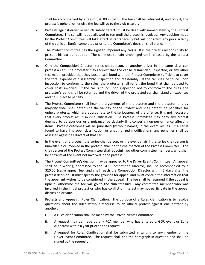shall be accompanied by a fee of \$20.00 in cash. The fee shall be returned if, and only if, the protest is upheld; otherwise the fee will go to the club treasury.

- c. Protests against driver or vehicle safety defects must be dealt with immediately by the Protest Committee. The car will not be allowed to run until the protest is resolved. Any decision made by the Protest Committee will take effect instantaneously but will not affect any prior activity of the vehicle. Run(s) completed prior to the Committee's decision shall stand.
- d. The Protest Committee has the right to impound any car(s). It is the driver's responsibility to present his car as required. The car must remain unchanged until released by the protest Committee.
- e. Only the Competition Director, series chairperson, or another driver in the same class can protest a car. The protester may request that the car be dismantled, inspected, or any other test made, provided that they post a cash bond with the Protest Committee sufficient to cover the total expense of disassembly, inspection and reassembly. If the car shall be found upon inspection to conform to the rules, the protester shall forfeit the bond that shall be used to cover costs involved. If the car is found upon inspection not to conform to the rules, the protester's bond shall be returned and the driver of the protested car shall stand all expenses and be subject to penalty.
- f. The Protest Committee shall hear the arguments of the protestee and the protestor, and by majority vote, shall determine the validity of the Protest and shall determine penalties for upheld protests, which are appropriate to the seriousness of the offense. It is not necessary that every protest result in disqualification. The Protest Committee may deny any protest deemed to be spurious or a nuisance, particularly if it concerns non‐performance affecting items. Protest outcomes will be published (without names) in the event results. If a car is found to have improper classification or unauthorized modifications, any penalties shall be assessed against all drivers of that car.
- g. In the event of a protest, the series chairperson, or the event chair if the series chairperson is unavailable or involved in the protest, shall be the chairperson of the Protest Committee. The chairperson of the Protest Committee shall appoint two other committee members, who shall be entrants at the event not involved in the protest.
- h. The Protest Committee's decision may be appealed to the Driver Events Committee. An appeal shall be in writing, addressed to the GGR Competition Director, shall be accompanied by a \$20.00 (cash) appeal fee, and shall reach the Competition Director within 5 days after the protest decision. It must specify the grounds for appeal and must contain the information that the appellant wishes to be considered in the appeal. The fee shall be returned if the appeal is upheld, otherwise the fee will go to the club treasury. Any committee member who was involved in the initial protest or who has conflict of interest may not participate in the appeal discussion or vote.
- i. Protests and Appeals: Rules Clarification. The purpose of a Rules clarification is to resolve questions about the rules without recourse to an official protest against one entrant by another.
	- i. A rules clarification shall be made by the Driver Events Committee.
	- ii. A request may be made by any PCA member who has entered a GGR event or Zone Autocross within a year prior to the request.
	- iii. A request for Rules Clarification shall be submitted in writing to any member of the Driver Event Committee. The request shall cite the paragraph in question and shall be signed by the requestor.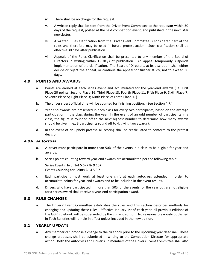- iv. There shall be no charge for the request.
- v. A written reply shall be sent from the Driver Event Committee to the requestor within 30 days of the request, posted at the next competition event, and published in the next GGR newsletter.
- vi. A written Rules Clarification from the Driver Event Committee is considered part of the rules and therefore may be used in future protest action. Such clarification shall be effective 30 days after publication.
- vii. Appeals of the Rules Clarification shall be presented to any member of the Board of Directors in writing within 15 days of publication. An appeal temporarily suspends implementation of the clarification. The Board of Directors, at its discretion, shall either decide or reject the appeal, or continue the appeal for further study, not to exceed 30 days.

#### **4.9 POINTS AND AWARDS**

- a. Points are earned at each series event and accumulated for the year-end awards (i.e. First Place‐20 points; Second Place‐16; Third Place‐13; Fourth Place‐11; Fifth Place‐9; Sixth Place‐7; Seventh Place‐5; Eight Place‐3; Ninth Place‐2; Tenth Place‐1. )
- b. The driver's best official time will be counted for finishing position. (See Section 4.7.)
- c. Year end awards are presented in each class for every two participants, based on the average participation in the class during the year. In the event of an odd number of participants in a class, the figure is rounded off to the next highest number to determine how many awards should be given (i.e., 3 participants round off to 4, giving two awards).
- d. In the event of an upheld protest, all scoring shall be recalculated to conform to the protest decision.

#### **4.9A Autocross**

- a. A driver must participate in more than 50% of the events in a class to be eligible for year-end awards.
- b. Series points counting toward year‐end awards are accumulated per the following table:

Series Events Held: 1‐4 5 6‐ 7 8‐ 9 10+ Events Counting for Points All 4 5 6 7

- c. Each participant must work at least one shift at each autocross attended in order to accumulate points for year‐end awards and to be included in the event results.
- d. Drivers who have participated in more than 50% of the events for the year but are not eligible for a series award shall receive a year-end participation award.

#### **5.0 RULE CHANGES**

a. The Drivers' Event Committee establishes the rules and this section describes methods for changing and updating these rules. Effective January 1st of each year, all previous editions of the GGR Rulebook will be superseded by the current edition. No revisions previously published in Tech Bulletins will remain in effect unless included in the new edition.

#### **5.1 YEARLY UPDATE**

a. Any member can propose a change to the rulebook prior to the upcoming year deadline. These change proposals shall be submitted in writing to the Competition Director for appropriate action. Both the Autocross and Driver's Ed members of the Drivers' Event Committee shall also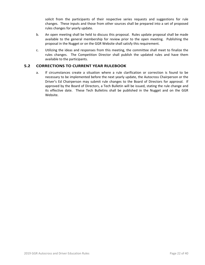solicit from the participants of their respective series requests and suggestions for rule changes. These inputs and those from other sources shall be prepared into a set of proposed rules changes for yearly update.

- b. An open meeting shall be held to discuss this proposal. Rules update proposal shall be made available to the general membership for review prior to the open meeting. Publishing the proposal in the Nugget or on the GGR Website shall satisfy this requirement.
- c. Utilizing the ideas and responses from this meeting, the committee shall meet to finalize the rules changes. The Competition Director shall publish the updated rules and have them available to the participants.

# **5.2 CORRECTIONS TO CURRENT YEAR RULEBOOK**

a. If circumstances create a situation where a rule clarification or correction is found to be necessary to be implemented before the next yearly update, the Autocross Chairperson or the Driver's Ed Chairperson may submit rule changes to the Board of Directors for approval. If approved by the Board of Directors, a Tech Bulletin will be issued, stating the rule change and its effective date. These Tech Bulletins shall be published in the Nugget and on the GGR Website.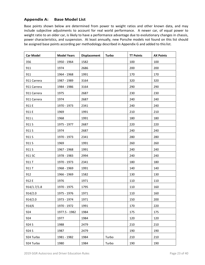# **Appendix A: Base Model List**

Base points shown below are determined from power to weight ratios and other known data, and may include subjective adjustments to account for real world performance. A newer car, of equal power to weight ratio to an older car, is likely to have a performance advantage due to evolutionary changes in chassis, power characteristics, and suspension. At least annually, new Porsche models not found on this list should be assigned base points according per methodology described in Appendix G and added to thislist.

| <b>Car Model</b> | <b>Model Years</b> | <b>Displacement</b> | <b>Turbo</b> | <b>TT Points</b> | <b>AX Points</b> |
|------------------|--------------------|---------------------|--------------|------------------|------------------|
| 356              | 1950 - 1964        | 1582                |              | 100              | 100              |
| 911              | 1974               | 2686                |              | 200              | 200              |
| 911              | 1964 - 1968        | 1991                |              | 170              | 170              |
| 911 Carrera      | 1987 - 1989        | 3164                |              | 320              | 320              |
| 911 Carrera      | 1984 - 1986        | 3164                |              | 290              | 290              |
| 911 Carrera      | 1975               | 2687                |              | 230              | 230              |
| 911 Carrera      | 1974               | 2687                |              | 240              | 240              |
| 911 E            | 1970 - 1973        | 2341                |              | 240              | 240              |
| 911 E            | 1969               | 1991                |              | 210              | 210              |
| 911L             | 1968               | 1991                |              | 180              | 180              |
| 911 S            | 1975 - 1977        | 2687                |              | 220              | 220              |
| 911 S            | 1974               | 2687                |              | 240              | 240              |
| 911 S            | 1970 - 1973        | 2341                |              | 280              | 280              |
| 911 S            | 1969               | 1991                |              | 260              | 260              |
| 911 S            | 1967 - 1968        | 1991                |              | 240              | 240              |
| 911 SC           | 1978 - 1983        | 2994                |              | 240              | 240              |
| 911 T            | 1970 - 1973        | 2341                |              | 180              | 180              |
| 911 T            | 1968 - 1969        | 1991                |              | 140              | 140              |
| 912              | 1966 - 1969        | 1582                |              | 130              | 130              |
| 912 E            | 1976               | 1971                |              | 110              | 110              |
| 914/1.7/1.8      | 1970 - 1975        | 1795                |              | 110              | 160              |
| 914/2.0          | 1975 - 1976        | 1971                |              | 110              | 160              |
| 914/2.0          | 1973 - 1974        | 1971                |              | 150              | 200              |
| 914/6            | 1970 - 1972        | 1991                |              | 170              | 220              |
| 924              | 1977.5 - 1982      | 1984                |              | 175              | 175              |
| 924              | 1977               | 1984                |              | 120              | 120              |
| 924 S            | 1988               | 2479                |              | 210              | 210              |
| 924 S            | 1987               | 2479                |              | 190              | 190              |
| 924 Turbo        | 1981 - 1982        | 1984                | Turbo        | 210              | 210              |
| 924 Turbo        | 1980               | 1984                | Turbo        | 190              | 190              |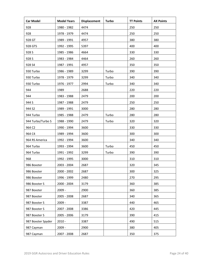| <b>Car Model</b>   | <b>Model Years</b> | <b>Displacement</b> | <b>Turbo</b> | <b>TT Points</b> | <b>AX Points</b> |
|--------------------|--------------------|---------------------|--------------|------------------|------------------|
| 928                | 1980 - 1982        | 4474                |              | 250              | 250              |
| 928                | 1978 - 1979        | 4474                |              | 250              | 250              |
| 928 GT             | 1989 - 1991        | 4957                |              | 380              | 380              |
| 928 GTS            | 1992 - 1995        | 5397                |              | 400              | 400              |
| 928 S              | 1985 - 1986        | 4664                |              | 330              | 330              |
| 928 S              | 1983 - 1984        | 4464                |              | 260              | 260              |
| 928 S4             | 1987 - 1991        | 4957                |              | 350              | 350              |
| 930 Turbo          | 1986 - 1989        | 3299                | Turbo        | 390              | 390              |
| 930 Turbo          | 1978 - 1979        | 3299                | Turbo        | 340              | 340              |
| 930 Turbo          | 1976 - 1977        | 2994                | Turbo        | 340              | 340              |
| 944                | 1989               | 2688                |              | 220              | 220              |
| 944                | 1983 - 1988        | 2479                |              | 200              | 200              |
| 944 S              | 1987 - 1988        | 2479                |              | 250              | 250              |
| 944 S2             | 1989 - 1991        | 3000                |              | 280              | 280              |
| 944 Turbo          | 1985 - 1988        | 2479                | Turbo        | 280              | 280              |
| 944 Turbo/Turbo S  | 1988 - 1990        | 2479                | Turbo        | 320              | 320              |
| 964 C <sub>2</sub> | 1990 - 1994        | 3600                |              | 330              | 330              |
| 964 C4             | 1989 - 1994        | 3600                |              | 300              | 300              |
| 964 RS America     | 1992 - 1994        | 3600                |              | 340              | 340              |
| 964 Turbo          | 1993 - 1994        | 3600                | Turbo        | 450              | 450              |
| 964 Turbo          | 1991 - 1992        | 3299                | Turbo        | 390              | 390              |
| 968                | 1992 - 1995        | 3000                |              | 310              | 310              |
| 986 Boxster        | 2003 - 2004        | 2687                |              | 320              | 345              |
| 986 Boxster        | 2000 - 2002        | 2687                |              | 300              | 325              |
| 986 Boxster        | 1996 - 1999        | 2480                |              | 270              | 295              |
| 986 Boxster S      | 2000 - 2004        | 3179                |              | 360              | 385              |
| 987 Boxster        | $2009 -$           | 2900                |              | 360              | 385              |
| 987 Boxster        | 2005 - 2008        | 2687                |              | 340              | 365              |
| 987 Boxster S      | 2009 -             | 3387                |              | 440              | 465              |
| 987 Boxster S      | 2007 - 2008        | 3386                |              | 420              | 445              |
| 987 Boxster S      | 2005 - 2006        | 3179                |              | 390              | 415              |
| 987 Boxster Spyder | $2010 -$           | 3387                |              | 490              | 515              |
| 987 Cayman         | 2009 -             | 2900                |              | 380              | 405              |
| 987 Cayman         | 2007 - 2008        | 2687                |              | 350              | 375              |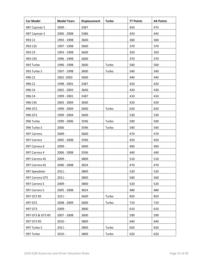| <b>Car Model</b>   | <b>Model Years</b> | <b>Displacement</b> | <b>Turbo</b> | <b>TT Points</b> | <b>AX Points</b> |
|--------------------|--------------------|---------------------|--------------|------------------|------------------|
| 987 Cayman S       | $2009 -$           | 3387                |              | 450              | 475              |
| 987 Cayman S       | 2006 - 2008        | 3386                |              | 420              | 445              |
| 993 C <sub>2</sub> | 1993 - 1998        | 3600                |              | 360              | 360              |
| 993 C2S            | 1997 - 1998        | 3600                |              | 370              | 370              |
| 993 C4             | 1993 - 1998        | 3600                |              | 350              | 350              |
| 993 C4S            | 1996 - 1998        | 3600                |              | 370              | 370              |
| 993 Turbo          | 1996 - 1998        | 3600                | Turbo        | 500              | 500              |
| 993 Turbo S        | 1997 - 1998        | 3600                | Turbo        | 540              | 540              |
| 996 C <sub>2</sub> | 2002 - 2003        | 3600                |              | 440              | 440              |
| 996 C <sub>2</sub> | 1998 - 2001        | 3387                |              | 420              | 420              |
| 996 C4             | 2002 - 2003        | 3600                |              | 430              | 430              |
| 996 C4             | 1999 - 2001        | 3387                |              | 410              | 410              |
| 996 C4S            | 2003 - 2004        | 3600                |              | 420              | 420              |
| 996 GT2            | 1999 - 2004        | 3600                | Turbo        | 620              | 620              |
| 996 GT3            | 1999 - 2004        | 3600                |              | 530              | 530              |
| 996 Turbo          | 1999 - 2006        | 3596                | Turbo        | 500              | 500              |
| 996 Turbo S        | 2006               | 3596                | Turbo        | 540              | 540              |
| 997 Carrera        | $2009 -$           | 3600                |              | 470              | 470              |
| 997 Carrera        | 2005 - 2008        | 3596                |              | 450              | 450              |
| 997 Carrera 4      | $2009 -$           | 3600                |              | 460              | 460              |
| 997 Carrera 4      | 2006 - 2008        | 3596                |              | 440              | 440              |
| 997 Carrera 4S     | $2009 -$           | 3800                |              | 510              | 510              |
| 997 Carrera 4S     | 2006 - 2008        | 3824                |              | 470              | 470              |
| 997 Speedster      | $2011 -$           | 3800                |              | 520              | 520              |
| 997 Carrera GTS    | $2011 -$           | 3800                |              | 560              | 560              |
| 997 Carrera S      | $2009 -$           | 3800                |              | 520              | 520              |
| 997 Carrera S      | 2005 - 2008        | 3824                |              | 480              | 480              |
| 997 GT2 RS         | $2011 -$           | 3600                | Turbo        | 850              | 850              |
| 997 GT2            | 2008 - 2009        | 3600                | Turbo        | 710              | 710              |
| 997 GT3            | $2009 -$           | 3800                |              | 610              | 610              |
| 997 GT3 & GT3 RS   | 2007 - 2008        | 3600                |              | 590              | 590              |
| 997 GT3 RS         | $2010 -$           | 3800                |              | 640              | 640              |
| 997 Turbo S        | $2011 -$           | 3800                | Turbo        | 650              | 650              |
| 997 Turbo          | $2010 -$           | 3800                | Turbo        | 620              | 620              |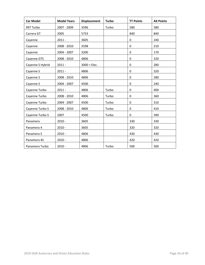| <b>Car Model</b> | <b>Model Years</b> | <b>Displacement</b> | <b>Turbo</b> | <b>TT Points</b> | <b>AX Points</b> |
|------------------|--------------------|---------------------|--------------|------------------|------------------|
| 997 Turbo        | 2007 - 2009        | 3596                | Turbo        | 580              | 580              |
| Carrera GT       | 2005               | 5733                |              | 840              | 840              |
| Cayenne          | $2011 -$           | 3605                |              | $\mathbf 0$      | 240              |
| Cayenne          | 2008 - 2010        | 3598                |              | $\Omega$         | 210              |
| Cayenne          | 2004 - 2007        | 3200                |              | $\mathbf 0$      | 170              |
| Cayenne GTS      | 2008 - 2010        | 4806                |              | $\mathbf 0$      | 320              |
| Cayenne S Hybrid | $2011 -$           | $3000 + Elec.$      |              | 0                | 280              |
| Cayenne S        | $2011 -$           | 4806                |              | $\mathbf 0$      | 320              |
| Cayenne S        | 2008 - 2010        | 4806                |              | $\mathbf 0$      | 280              |
| Cayenne S        | 2004 - 2007        | 4500                |              | $\mathbf 0$      | 240              |
| Cayenne Turbo    | $2011 -$           | 4806                | Turbo        | $\mathbf 0$      | 400              |
| Cayenne Turbo    | 2008 - 2010        | 4806                | Turbo        | $\pmb{0}$        | 360              |
| Cayenne Turbo    | 2004 - 2007        | 4500                | Turbo        | 0                | 310              |
| Cayenne Turbo S  | 2008 - 2010        | 4806                | Turbo        | $\mathbf 0$      | 410              |
| Cayenne Turbo S  | 2007               | 4500                | Turbo        | 0                | 390              |
| Panamera         | $2010 -$           | 3605                |              | 330              | 330              |
| Panamera 4       | $2010 -$           | 3605                |              | 320              | 320              |
| Panamera S       | $2010 -$           | 4806                |              | 430              | 430              |
| Panamera 4S      | $2010 -$           | 4806                |              | 420              | 420              |
| Panamera Turbo   | $2010 -$           | 4806                | Turbo        | 500              | 500              |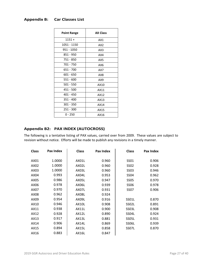# **Appendix B: Car Classes List**

| <b>Point Range</b> | <b>AX Class</b> |
|--------------------|-----------------|
| $1151 +$           | AX1             |
| 1051 - 1150        | AX2             |
| 951 - 1050         | AX3             |
| 851 - 950          | AX4             |
| 751 - 850          | AX5             |
| 701 - 750          | AX6             |
| 651 - 700          | AX7             |
| 601 - 650          | AX8             |
| 551 - 600          | AX9             |
| $501 - 550$        | AX10            |
| 451 - 500          | AX11            |
| $401 - 450$        | AX12            |
| $351 - 400$        | AX13            |
| 301 - 350          | AX14            |
| 251 - 300          | AX15            |
| $0 - 250$          | AX16            |

# **Appendix B2: PAX INDEX (AUTOCROSS)**

The following is a tentative listing of PAX values, carried over from 2009. These values are subject to revision without notice. Efforts will be made to publish any revisions in a timely manner.

| <b>Class</b> | Pax Index | <b>Class</b> | Pax Index | <b>Class</b> | Pax Index |
|--------------|-----------|--------------|-----------|--------------|-----------|
|              |           |              |           |              |           |
| AX01         | 1.0000    | AX01L        | 0.960     | SS01         | 0.906     |
| AX02         | 1.0000    | AX02L        | 0.960     | <b>SS02</b>  | 0.928     |
| AX03         | 1.0000    | AX03L        | 0.960     | <b>SS03</b>  | 0.946     |
| AX04         | 0.993     | AX04L        | 0.953     | SS04         | 0.962     |
| AX05         | 0.986     | AX05L        | 0.947     | <b>SS05</b>  | 0.970     |
| AX06         | 0.978     | <b>AX06L</b> | 0.939     | <b>SS06</b>  | 0.978     |
| AX07         | 0.970     | AX07L        | 0.931     | <b>SS07</b>  | 0.906     |
| AX08         | 0.962     | <b>AX08L</b> | 0.924     |              |           |
| AX09         | 0.954     | AX09L        | 0.916     | SS01L        | 0.870     |
| AX10         | 0.946     | <b>AX10L</b> | 0.908     | SS02L        | 0.891     |
| AX11         | 0.938     | <b>AX11L</b> | 0.900     | SS03L        | 0.908     |
| AX12         | 0.928     | <b>AX12L</b> | 0.890     | SS04L        | 0.924     |
| AX13         | 0.917     | <b>AX13L</b> | 0.881     | SS05L        | 0.931     |
| AX14         | 0.906     | <b>AX14L</b> | 0.869     | SS06L        | 0.939     |
| AX15         | 0.894     | <b>AX15L</b> | 0.858     | SS07L        | 0.870     |
| AX16         | 0.883     | <b>AX16L</b> | 0.847     |              |           |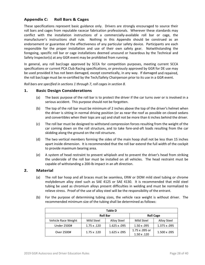# **Appendix C: Roll Bars & Cages**

These specifications represent basic guidance only. Drivers are strongly encouraged to source their roll bars and cages from reputable racecar fabrication professionals. Wherever these standards may conflict with the installation instructions of a commercially-available roll bar or cage, the manufacturer's instructions shall rule. Nothing in this Appendix should be construed as an endorsement or guarantee of the effectiveness of any particular safety device. Participants are each responsible for the proper installation and use of their own safety gear. Notwithstanding the foregoing, specific roll bar or cage installations deemed unsound or hazardous by the Technical and Safety Inspector(s) at any GGR event may be prohibited from running.

In general, any roll bar/cage approved by SCCA for competition purposes, meeting current SCCA specifications or current PCA Club Racing specifications, or previously approved by GGR for DE use may be used provided it has not been damaged, except cosmetically, in any way. If damaged and repaired, the roll bar/cage must be re‐certified by the Tech/Safety Chairperson prior to its use in a GGR event.

*Roll bars are specified in sections 1 through 7, roll cages in section 8.*

#### **1. Basic Design Considerations**

- (a) The basic purpose of the roll bar is to protect the driver if the car turns over or is involved in a serious accident. This purpose should not be forgotten.
- (b) The top of the roll bar must be minimum of 2 inches above the top of the driver's helmet when the driver is sitting in normal driving position (or as near the roof as possible on closed sedans and convertibles when their tops are up) and shall not be more than 6 inches behind the driver.
- (c) The roll bar must be designed to withstand compression forces resulting from the weight of the car coming down on the roll structure, and to take fore‐and‐aft loads resulting from the car skidding along the ground on the roll structure.
- (d) The two vertical members forming the sides of the main hoop shall not be less than 15 inches apart inside dimension. It is recommended that the roll bar extend the full width of the cockpit to provide maximum bearing area.
- (e) A system of head restraint to prevent whiplash and to prevent the driver's head from striking the underside of the roll bar must be installed on all vehicles. The head restraint must be capable of withstanding a 200‐lb impact in an aft direction.

#### **2. Material**

- (a) The roll bar hoop and all braces must be seamless, ERW or DOM mild steel tubing or chrome molybdenum alloy steel such as SAE 4125 or SAE 4130. It is recommended that mild steel tubing be used as chromium alloys present difficulties in welding and must be normalized to relieve stress. Proof of the use of alloy steel will be the responsibility of the entrant.
- (b) For the purpose of determining tubing sizes, the vehicle race weight is without driver. The recommended minimum size of the tubing shall be determined as follows:

| Table D             |                    |              |                                     |                  |  |
|---------------------|--------------------|--------------|-------------------------------------|------------------|--|
|                     | <b>Roll Bar</b>    |              |                                     | <b>Roll Cage</b> |  |
| Vehicle Race Weight | Mild Steel         | Alloy Steel  | Mild Steel                          | Alloy Steel      |  |
| Under 2500#         | $1.75 \times .120$ | 1.625 x .095 | $1.50 \times 0.095$                 | 1.375 x .095     |  |
| Over 2500#          | 1.75 x .120        | 1.625 x .095 | 1.75 x .095 or<br>$1.50 \times 120$ | 1.500 x .095     |  |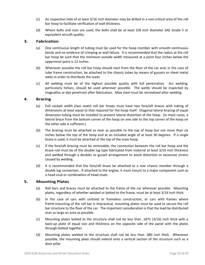- (c) An inspection hole of at least 3/16 inch diameter may be drilled in a non‐critical area of the roll bar hoop to facilitate verification of wall thickness.
- (d) Where bolts and nuts are used, the bolts shall be at least 3/8 inch diameter SAE Grade 5 or equivalent aircraft quality.

# **3. Fabrication**

- (a) One continuous length of tubing must be used for the hoop member with smooth continuous bends and no evidence of crimping or wall failure. It is recommended that the radius at the roll bar hoop be such that the minimum outside width measured at a point four inches below the uppermost point is 12 inches.
- (b) Whenever possible the roll bar hoop should start from the floor of the car and, in the case of tube frame construction, be attached to the chassis tubes by means of gussets or sheet metal webs in order to distribute the loads.
- (c) All welding must be of the highest possible quality with full penetration. Arc welding, particularly heliarc, should be used wherever possible. The welds should be inspected by magnaflux or dye penetrant after fabrication. Alloy steel must be normalized after welding.

#### **4. Bracing**

- (a) Full cockpit width (two seats) roll bar hoops must have two fore/aft braces with tubing of dimensions at least equal to that required for the hoop itself. Diagonal lateral bracing of equal dimension tubing must be installed to prevent lateral distortion of the hoop. (In most cases, a lateral brace from the bottom corner of the hoop on one side to the top corner of the hoop on the other side is sufficient.)
- (b) The bracing must be attached as near as possible to the top of hoop but not more than six inches below the top of the hoop and at an included angle of at least 30 degrees. If a single brace is used, it must be attached at the top of the main hoop.
- (c) If the fore/aft bracing must be removable, the connection between the roll bar hoop and the brace‐rod must be of the double lug type fabricated from material at least 3/16 inch thickness and welded through a doubler or gusset arrangement to avoid distortion or excessive strains caused by welding.
- (d) It is recommended that the fore/aft brace be attached to a rear chassis member through a double lug connection. If attached to the engine, it must mount to a major component such as a head stud or combination of head studs.

#### **5. Mounting Plates**

- (a) Roll bars and braces must be attached to the frame of the car wherever possible. Mounting plates, regardless of whether welded or bolted to the frame, must be at least 3/16 inch thick.
- (b) In the case of cars with unitized or frameless construction, or cars with frames where frame‐mounting of the roll bar is impractical, mounting plates must be used to secure the roll bar structure to the floor of the car. The important consideration is that the load be distributed over as large an area as possible.
- (c) Mounting plates bolted to the structure shall not be less than .1875 (3/16) inch thick with a back-up plate of equal size and thickness on the opposite side of the panel with the plates through‐bolted together.
- (d) Mounting plates welded to the structure shall not be less than .080 inch thick. Whenever possible, the mounting plate should extend onto a vertical section of the structure such as a door pillar.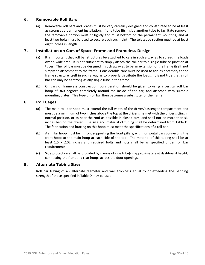# **6. Removable Roll Bars**

(a) Removable roll bars and braces must be very carefully designed and constructed to be at least as strong as a permanent installation. If one tube fits inside another tube to facilitate removal, the removable portion must fit tightly and must bottom on the permanent mounting, and at least two bolts must be used to secure each such joint. The telescope section must be at least eight inches in length.

# **7. Installation on Cars of Space Frame and Frameless Design**

- (a) It is important that roll bar structures be attached to cars in such a way as to spread the loads over a wide area. It is not sufficient to simply attach the roll bar to a single tube or junction at tubes. The roll bar must be designed in such away as to be an extension of the frame itself, not simply an attachment to the frame. Considerable care must be used to add as necessary to the frame structure itself in such a way as to properly distribute the loads. It is not true that a roll bar can only be as strong as any single tube in the frame.
- (b) On cars of frameless construction, consideration should be given to using a vertical roll bar hoop of 360 degrees completely around the inside of the car, and attached with suitable mounting plates. This type of roll bar then becomes a substitute for the frame.

# **8. Roll Cages**

- (a) The main roll bar hoop must extend the full width of the driver/passenger compartment and must be a minimum of two inches above the top at the driver's helmet with the driver sitting in normal position, or as near the roof as possible in closed cars, and shall not be more than six inches behind the driver. The size and material of tubing shall be determined from Table D. The fabrication and bracing on this hoop must meet the specifications of a roll bar.
- (b) A similar hoop must be in front supporting the front pillars, with horizontal bars connecting the front hoop to the main hoop at each side of the top. The material of this tubing shall be at least 1.5 x .102 inches and required bolts and nuts shall be as specified under roll bar requirements.
- (c) Side protection shall be provided by means of side tube(s), approximately at dashboard height, connecting the front and rear hoops across the door openings.

# **9. Alternate Tubing Sizes**

Roll bar tubing of an alternate diameter and wall thickness equal to or exceeding the bending strength of those specified in Table D may be used.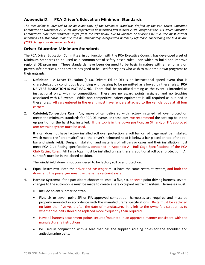# **Appendix D: PCA Driver's Education Minimum Standards**

The text below is intended to be an exact copy of the Minimum Standards drafted by the PCA Driver Education Committee on November 29, 2018, and expected to be published first quarter 2019. Insofar as the PCA Driver Education Committee's published standards differ from the text below due to updates or revisions by PCA, the most current published PCA standards shall rule and be immediately incorporated herein by reference, superseding the text below. *(2019 changes are shown in red text.)*

#### **Driver Education Minimum Standards**

The PCA Driver Education Committee, in conjunction with the PCA Executive Council, has developed a set of Minimum Standards to be used as a common set of safety based rules upon which to build and improve regional DE programs. These standards have been designed to be basic in nature with an emphasis on proven safe practices, and they are designed to be used for regions who wish to tailor their own programs to their entrants.

- 1. **Definition:** A Driver Education (a.k.a. Drivers Ed or DE) is an instructional speed event that is characterized by continuous lap driving with passing to be permitted as allowed by these rules. **PCA DRIVERS EDUCATION IS NOT RACING.**  There shall be no official timing as the event is intended as instructional only, with no competition. There are no award points assigned and no trophies associated with DE events. While non‐competitive, safety equipment is still required as outlined in these rules. All cars entered in the event must have fenders attached to the vehicle body at all four corners.
- 2. **Cabriolet/Convertible Cars:** Any make of car delivered with factory installed roll over protection meets the minimum standards for PCA DE events. In these cars, we recommend the soft-top be in the up position or the hard top installed. If the top is in the down position, an SFI and/or FIA approved arm restraint system must be used.

If a car does not have factory installed roll over protection, a roll bar or roll cage must be installed, which meets the "broomstick" rule (the driver's helmeted head is below a bar placed on top of the roll bar and windshield). Design, installation and materials of roll bars or cages and their installation must meet PCA Club Racing specifications, contained in Appendix A - Roll Cage Specifications of the PCA Club Racing Rules. All Targa tops must be installed unless there is additional roll over protection. All sunroofs must be in the closed position.

The windshield alone is not considered to be factory roll over protection.

- 3. **Equal Restraints:** Both the driver and passenger must have the same restraint system, and both the driver and the passenger must use the same restraint system.
- 4. **Harness Systems:** If the participant chooses to install a five, six, or seven point driving harness, several changes to the automobile must be made to create a safe occupant restraint system. Harnesses must:
	- Include an antisubmarine strap.
	- Five, six or seven point SFI or FIA approved competition harnesses are required and must be properly mounted in accordance with the manufacturer's specifications. Belts must be replaced no later than five years after the date of manufacture. It is left to the owner's discretion as to whether the belts should be replaced more frequently than required.
	- Have all harness attachment points secured/mounted in an approved manner consistent with the manufacturer's instructions.
	- Be used in conjunction with a seat that has the supplied routing holes for the shoulder and antisubmarine belts.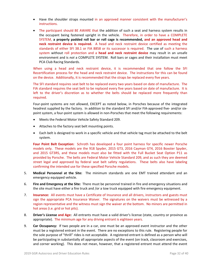- Have the shoulder straps mounted in an approved manner consistent with the manufacturer's instructions.
- The participant should BE AWARE that the addition of such a seat and harness system results in the occupant being fastened upright in the vehicle. Therefore, in order to have a COMPLETE SYSTEM, **a properly padded roll bar or roll cage is recommended, and an approved head and neck restraint device is required.**  A head and neck restraint device certified as meeting the standards of either SFI 38.1 or FIA 8858 or its successor is required. The use of such a harness system without roll protection and a **head and neck restraint device** may result in an unsafe environment and is *not* a COMPLETE SYSTEM. Roll bars or cages and their installation must meet PCA Club Racing Standards.

When using a head and neck restraint device, it is recommended that one follow the SFI Recertification process for the head and neck restraint device. The instructions for this can be found on the device. Additionally, it is recommended that the straps be replaced every five years.

The SFI standard requires seat belt to be replaced every two years based on date of manufacture. The FIA standard requires the seat belt to be replaced every five years based on date of manufacture. It is left to the driver's discretion as to whether the belts should be replaced more frequently than required.

Four‐point systems are not allowed, EXCEPT as noted below, in Porsches because of the integrated headrest supplied by the factory. In addition to the standard SFI and/or FIA-approved five- and/or sixpoint system, a four-point system is allowed in non-Porsches that meet the following requirements:

- Meets the Federal Motor Vehicle Safety Standard 209.
- Attaches to the factory seat belt mounting points.
- Each belt is designed to work in a specific vehicle and that vehicle tag must be attached to the belt system.

**Four Point Belt Exception:** Schroth has developed a four point harness for specific newer Porsche models only. These models are the 918 Spyder, 2015 GT3, 2016 Cayman GT4, 2016 Boxster Spyder, and 2015 GT3RS, and these models must also be fitted with the Full Bucket Seat Option P11 as provided by Porsche. The belts are Federal Motor Vehicle Standard 209, and as such they are deemed street legal and approved by federal seat belt safety regulations. These belts also have labeling confirming the intended use for these specified Porsche models.

- 5. **Medical Personnel at the Site:** The minimum standards are one EMT trained attendant and an emergency equipped vehicle.
- 6. **Fire and Emergency at the Site:** There must be personnel trained in fire and emergency situations and the site must have either a fire truck and /or a tow truck equipped with fire emergency equipment.
- 7. **Insurance:** All events must have a Certificate of Insurance and all drivers, instructors and guests must sign the appropriate PCA Insurance Waiver. The signatures on the waivers must be witnessed by a region representative and the witness must sign the waiver at the bottom. No minors are permitted in hot areas (i.e. grid or hot pits).
- 8. **Driver's License and Age:** All entrants must have a valid driver's license (state, country or province as appropriate). The minimum age for any driving entrant is eighteen years.
- 9. **Car Occupancy:** If two people are in a car, one must be an approved event instructor and the other must be a registered entrant in the event. There are no exceptions to this rule. Registering people for the sole purpose of "thrill" rides is not acceptable. A registered entrant is defined as a person who will be participating in substantially all appropriate aspects of the event (on track, classroom and exercises, and corner working). This does not mean, however, that a registered entrant must attend the event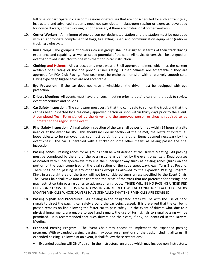full time, or participate in classroom sessions or exercises that are not scheduled for such entrant (e.g., instructors and advanced students need not participate in classroom session or exercises developed for novice drivers; corner working is not necessary if there are professional corner workers).

- 10. **Corner Workers:** A minimum of one person per designated station and the station must be equipped with an appropriate complement of flags, fire extinguisher, and communication equipment (radio or track hardwire system).
- 11. **Run Groups:** The grouping of drivers into run groups shall be assigned in terms of their track driving experience and capability, as well as speed potential of the cars. All novice drivers shall be assigned an event-approved instructor to ride with them for in-car instruction.
- 12. **Clothing and Helmet:** All car occupants must wear a Snell approved helmet, which has the current available Snell rating or the one previous Snell rating. Other helmets are acceptable if they are approved for PCA Club Racing. Footwear must be enclosed, non-slip, with a relatively smooth sole. Hiking type deep lugged soles are not acceptable.
- 13. **Eye Protection:** If the car does not have a windshield, the driver must be equipped with eye protection.
- 14. **Drivers Meeting:** All events must have a drivers' meeting prior to putting cars on the track to review event procedures and policies.
- 15. **Car Safety Inspection:** The car owner must certify that the car is safe to run on the track and that the car has been inspected by a regionally approved person or shop within thirty days prior to the event. A completed Tech Form signed by the driver and the approved person or shop is required to be submitted to the region at the event.
- 16. **Final Safety Inspection:** A final safety inspection of the car shall be performed within 24 hours at a site near or at the event facility. This should include inspection of the helmet, the restraint system, all loose objects to be removed, gas cap must be tight and any other items deemed necessary by the event chair. The car is identified with a sticker or some other means as having passed the final inspection.
- 17. **Passing Zones:** Passing zones for all groups shall be well defined at the Drivers Meeting. All passing must be completed by the end of the passing zone as defined by the event organizer. Road courses associated with super speedways may use the superspeedway turns as passing zones (turns on the portion of the track comprised of the oval section of the superspeedway); e.g., Turn 3 at Pocono. There shall be no passing in any other turns except as allowed by the Expanded Passing Program. Kinks in a straight area of the track will not be considered turns unless specified by the Event Chair. The Event Chair shall take into consideration the areas of the track that are preferred for passing, and may restrict certain passing zones to advanced run groups. THERE WILL BE NO PASSING UNDER RED FLAG CONDITIONS. THERE IS ALSO NO PASSING UNDER YELLOW FLAG CONDITIONS EXCEPT FOR SLOW MOVING VEHICLES WHOSE DRIVERS HAVE SIGNALLED THAT THEIR VEHICLES ARE DISABLED.
- 18. **Passing Signals and Procedures:** All passing in the designated areas will be with the use of hand signals to direct the passing car safely around the car being passed. It is preferred that the car being passed remains on line allowing the faster car to pass safely. In the event of drivers who, due to a physical impairment, are unable to use hand signals, the use of turn signals to signal passing will be permitted. It is recommended that such drivers and their cars, if any, be identified in the Drivers' Meeting.
- 19. **Expanded Passing Program:** The Event Chair may choose to implement the expanded passing program. With expanded passing, passing may occur on all portions of the track, including all turns. If expanded passing is allowed at an event, it shall follow these restrictions:
	- Expanded passing will ONLY be run in the Instructors run group which may include non‐instructors.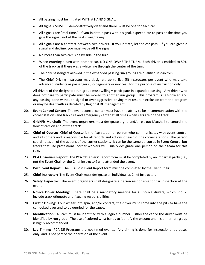- All passing must be initiated WITH A HAND SIGNAL.
- All signals MUST BE demonstratively clear and there must be one for each car.
- All signals are "real time." If you initiate a pass with a signal, expect a car to pass at the time you give the signal, not at the next straightaway.
- All signals are a contract between two drivers. If you initiate, let the car pass. If you are given a signal and decline, you must wave off the signal.
- No more than two cars side by side in the turn.
- When entering a turn with another car, NO ONE OWNS THE TURN. Each driver is entitled to 50% of the track as if there was a white line through the center of the turn.
- The only passengers allowed in the expanded passing run groups are qualified instructors.
- The Chief Driving Instructor may designate up to five (5) instructors per event who may take advanced students as passengers (no beginners or novices), for the purpose of instruction only.

All drivers of the designated run group must willingly participate in expanded passing. Any driver who does not care to participate must be moved to another run group. This program is self‐policed and any passing done without a signal or over aggressive driving may result in exclusion from the program or may be dealt with as decided by Regional DE management.

- 20. **Event Control Center:** The event control center must have the ability to be in communication with the corner stations and track fire and emergency center at all times when cars are on the track,.
- 21. **Grid/Pit Marshall:** The event organizers must designate a grid and/or pit‐out Marshall to control the flow of cars on and off the track.
- 22. **Chief of Course:** Chief of Course is the flag station or person who communicates with event control and all corners and is responsible for all reports and actions of each of the corner stations. The person coordinates all of the actions of the corner stations. It can be the same person as in Event Control but tracks that use professional corner workers will usually designate one person on their team for this role.
- 23. **PCA Observers Report:** The PCA Observers' Report form must be completed by an impartial party (i.e., not the Event Chair or the Chief Instructor) who attended the event.
- 24. **Post Event Report:** The PCA Post Event Report form must be completed by the Event Chair.
- 25. **Chief Instructor:** The Event Chair must designate an individual as Chief Instructor.
- 26. **Safety Inspector:** The event organizers shall designate a person responsible for car inspection at the event.
- 27. **Novice Driver Meeting:** There shall be a mandatory meeting for all novice drivers, which should include track etiquette and flagging responsibilities.
- 28. **Erratic Driving:** Four wheels off, spin, and/or contact, the driver must come into the pits to have the car looked over and to be queried for the cause.
- 29. **Identification:** All cars must be identified with a legible number. Either the car or the driver must be identified by run group. The use of colored wrist bands to identify the entrant and his or her run group is highly recommended.
- 30. **Lap Timing:** PCA DE Programs are not timed events. Any timing is done for instructional purposes only, and is not part of the operation of the event.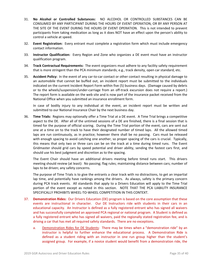- 31. **No Alcohol or Controlled Substances:** NO ALCOHOL OR CONTROLLED SUBSTANCES CAN BE CONSUMED BY ANY PARTICIPANT DURING THE HOURS OF EVENT OPERATION, OR BY ANY PERSON AT THE SITE OF THE EVENT DURING THE HOURS OF EVENT OPERATION. This is not intended to prevent participants from taking medication as long as it does NOT have an effect upon the person's ability to control a vehicle at speed.
- 32. **Event Registration:** Every entrant must complete a registration form which must include emergency contact information.
- 33. **Instructor Qualification:** Every Region and Zone who organizes a DE event must have an instructor qualification program.
- 34. **Track Contractual Requirements:** The event organizers must adhere to any facility safety requirement that is more stringent than the PCA minimum standards; e.g., track density, open car standard, etc.
- 35. **Accident Policy:** In the event of any car‐to‐car contact or other contact resulting in physical damage to an automobile that cannot be buffed out, an incident report must be submitted to the individuals indicated on the current Incident Report Form within five (5) business days. (Damage caused by debris or to the wheels/suspension/under-carriage from an off-track excursion does not require a report.) The report form is available on the web site and is now part of the insurance packet received from the National Office when you submitted an insurance enrollment form.

In case of bodily injury to any individual at the event, an incident report must be written and submitted to our National Insurance Chair by the next business day.

36. **Time Trials:** Regions may optionally offer a Time Trial at a DE event. A Time Trial brings a competitive aspect to the DE. After all of the untimed sessions of a DE are finished, there is a final session that is timed for the purpose of official scoring. During the Time Trial portion of the event, cars are sent out one at a time on to the track to have their designated number of timed laps. All the allowed timed laps are run continuously, as in practice; however there shall be no passing. Cars must be released with enough spacing to avoid catching one another, so proper spacing of the cars is crucial. Typically, this means that only two or three cars can be on the track at a time during timed runs. The Event Gridmaster should grid cars by speed potential and driver ability, sending the fastest cars first, and should use his best judgment and discretion as to the spacing.

The Event Chair should have an additional drivers meeting before timed runs start. This drivers meeting should review (at least): No passing; flag rules; maintaining distance between cars; number of laps to be driven; any safety concerns.

The purpose of Time Trials is to give the entrants a clear track with no distractions, to get an impartial lap time, and potentially have rankings among the drivers. As always, safety is the primary concern during PCA track events. All standards that apply to a Drivers Education will apply to the Time Trial portion of the event except as noted in this section. NOTE THAT THE PCA LIABILITY INSURANCE SPECIFICALLY PROHIBITS WHEEL‐TO‐WHEEL COMPETITION IN THIS CONTEXT.

- 37. **Demonstration Rides:** Our Drivers Education (DE) program is based on the core assumption that these events are instructional in character. Our DE Instructors ride with students in their cars in an educational capacity. An Instructor is defined as a fully registered entrant who has signed all waivers and has successfully completed an approved PCA regional or national program. A Student is defined as a fully registered entrant who has signed all waivers, paid the regionally stated registration fee, and is driving a car that has met all required safety standards. There are no exceptions.
	- a. Demonstration Rides for DE Students: There may be times when a "demonstration ride" by an instructor is helpful to further enhance the educational process. A Demonstration Ride is defined as a student riding with an instructor in one run group higher than the student's assigned group. For example, if a novice student would benefit from a demonstration ride, the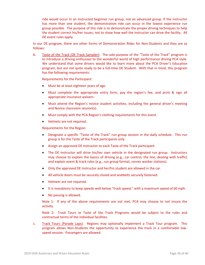ride would occur in an instructed beginner run group, not an advanced group. If the instructor has more than one student, the demonstration ride can occur in the lowest experience run group possible. The purpose of this ride is to demonstrate the proper driving techniques to help the student correct his/her issues, not to show how well the instructor can drive the facility. All DE event rules apply.

In our DE program, there are other forms of Demonstration Rides for Non‐Students and they are as follows:

b. Taste of the Track (DE Track Sampler): The sole purpose of the "Taste of the Track" program is to introduce a driving enthusiast to the wonderful world of high performance driving PCA style. We understand that some drivers would like to learn more about the PCA Driver's Education program, but are not quite ready to be a full‐time DE Student. With that in mind, this program has the following requirements:

Requirements for the Participant:

- Must be at least eighteen years of age.
- Must complete the appropriate entry form, pay the region's fee, and print & sign all appropriate insurance waivers.
- Must attend the Region's novice student activities, including the general driver's meeting and Novice classroom session(s).
- Must comply with the PCA Region's clothing requirements for this event.
- Helmets are not required.

Requirements for the Region:

- Designate a specific "Taste of the Track" run group session in the daily schedule. This run group is for the Taste of the Track participants only.
- Assign an approved DE Instructor to each Taste of the Track participant.
- The DE Instructor will drive his/her own vehicle in the designated run group. Instructors may choose to explain the basics of driving (e.g., car control, the line, dealing with traffic) and explain event & track rules (e.g., run group format, corner worker stations).
- Only the approved DE Instructor and her/his student are allowed in the car.
- All vehicle doors must be securely closed and seatbelts securely fastened.
- Helmets are not required.
- It is mandatory to keep speeds well below "track speed," with a maximum speed of 60 mph.
- No passing is allowed.

Note 1: If any of the above requirements are not met, PCA may choose to not insure the activity.

Note 2: Track Tours or Taste of the Track Programs would be subject to the rules and contractual terms of the individual facilities.

c. Track Tours (Parade Laps): Regions may optionally implement a Track Tour program. This program allows Non‐Students the opportunity to experience the track in a comfortable low‐ speed session. Passengers are allowed.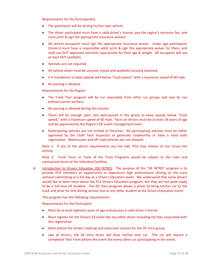Requirements for the Participant(s):

- The participant will be driving his/her own vehicle.
- The driver participant must have a valid driver's license, pay the region's entrance fee, and must print & sign the appropriate insurance waivers.
- All vehicle occupants must sign the appropriate insurance waiver. Under age participants (minors) must have a responsible adult print & sign the appropriate waiver for them, and shall use DOT approved restraints appropriate for their age & weight. All occupants will use at least DOT seatbelts.
- Helmets are not required.
- All vehicle doors must be securely closed and seatbelts securely fastened.
- It is mandatory to keep speeds well below "track speed," with a maximum speed of 60 mph.
- No passing is allowed.

Requirements for the Region:

- The Track Tour program will be run separately from other run groups and may be run without corner workers.
- No passing is allowed during this session.
- There will be enough pace cars well‐spaced in the group to keep speeds below "track speed," with a maximum speed of 60 mph. Pace car drivers must be at least 18 years of age and be appointed by the Region's DE event management team.
- Participating vehicles are not limited to Porsches. All participating vehicles must be either approved by the Chief Tech Inspector as generally roadworthy or have a valid state registration. Motorcycles and off‐road vehicles are not allowed.

Note 1: If any of the above requirements are not met, PCA may choose to not insure the activity.

Note 2: Track Tours or Taste of the Track Programs would be subject to the rules and contractual terms of the individual facilities.

d. Introduction to Drivers Education (DE INTRO): The purpose of the "DE INTRO" program is to provide PCA members an opportunity to experience high performance driving on the track without committing to a full day at a Drivers Education event. We understand that some drivers would like to learn more about the PCA Drivers Education program, but they are not quite ready to be a full-time DE Student. The DE Intro program allows a driver to bring his/her car to the track and drive for one driving session just as any other student at the Drivers Education event.

This program has the following requirements:

Requirements for the Participant:

- Must be at least eighteen years of age and possess a valid driver's license.
- Must register for the Drivers Ed event like any other driver including the fees associated with this registration.
- Must attend the drivers meeting and classroom session for the DE Intro group.
- Like all drivers, the DE Intro driver will drive his/her own car. This car will require a completed Tech Form before the event like every other car participating in the event.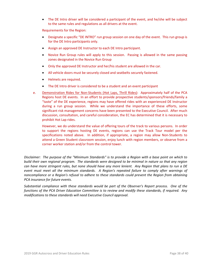The DE Intro driver will be considered a participant of the event, and he/she will be subject to the same rules and regulations as all drivers at the event.

Requirements for the Region:

- Designate a specific "DE INTRO" run group session on one day of the event. This run group is for the DE Intro participants only.
- Assign an approved DE Instructor to each DE Intro participant.
- Novice Run Group rules will apply to this session. Passing is allowed in the same passing zones designated in the Novice Run Group
- Only the approved DE Instructor and her/his student are allowed in the car.
- All vehicle doors must be securely closed and seatbelts securely fastened.
- Helmets are required.
- The DE Intro driver is considered to be a student and an event participant
- e. Demonstration Rides for Non‐Students (Hot Laps, Thrill Rides): Approximately half of the PCA Regions host DE events. In an effort to provide prospective students/sponsors/friends/family a "taste" of the DE experience, regions may have offered rides with an experienced DE Instructor during a run group session. While we understand the importance of these efforts, some significant risk management concerns have been presented to the Executive Council. After much discussion, consultation, and careful consideration, the EC has determined that it is necessary to prohibit Hot Lap rides.

However, we do understand the value of offering tours of the track to various persons. In order to support the regions hosting DE events, regions can use the Track Tour model per the specifications noted above. In addition, if appropriate, a region may allow Non‐Students to attend a Green Student classroom session, enjoy lunch with region members, or observe from a corner worker station and/or from the control tower.

Disclaimer: The purpose of the "Minimum Standards" is to provide a Region with a base point on which to build their own regional program. The standards were designed to be minimal in nature so that any region can have more stringent rules, but none should have any more lenient. Any Region that plans to run a DE *event must meet all the minimum standards. A Region's repeated failure to comply after warnings of noncompliance or a Region's refusal to adhere to these standards could prevent the Region from obtaining PCA insurance for future events.*

*Substantial compliance with these standards would be part of the Observer's Report process. One of the* functions of the PCA Driver Education Committee is to review and modify these standards, if required. Any *modifications to these standards will need Executive Council approval.*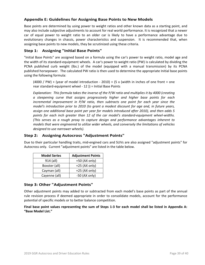# **Appendix E: Guidelines for Assigning Base Points to New Models**

Base points are determined by using power to weight ratios and other known data as a starting point, and may also include subjective adjustments to account for real world performance. It is recognized that a newer car of equal power to weight ratio to an older car is likely to have a performance advantage due to evolutionary changes in chassis, power characteristics and suspension. It is recommended that, when assigning base points to new models, they be scrutinized using these criteria.

# **Step 1: Assigning "Initial Base Points"**

"Initial Base Points" are assigned based on a formula using the car's power to weight ratio, model age and the width of its standard‐equipment wheels. A car's power to weight ratio (PW) is calculated by dividing the PCNA published curb weight (lbs.) of the model (equipped with a manual transmission) by its PCNA published horsepower. The calculated PW ratio is then used to determine the appropriate Initial base points using the following formula:

 $(4000 / PW)$  + (year of model introduction - 2010) + (5 x (width in inches of one front + one rear standard‐equipment wheel ‐ 12 )) = Initial Base Points

*Explanation: This formula takes the inverse of the P/W ratio and multiplies it by 4000 (creating a steepening curve that assigns progressively higher and higher base points for each incremental improvement in P/W ratio, then subtracts one point for each year since the model's introduction prior to 2010 (to grant a modest discount for age and, in future years, assign one additional base point per year for models introduced after 2010), and then adds 5 points for each inch greater than 12 of the car model's standard‐equipment wheel‐widths. (This serves as a rough proxy to capture design and performance advantages inherent to models that were engineered to utilize wider wheels, and conversely the limitations of vehicles designed to use narrower wheels).*

# **Step 2: Assigning Autocross "Adjustment Points"**

Due to their particular handling traits, mid‐engined cars and SUVs are also assigned "adjustment points" for Autocross only. Current "adjustment points" are listed in the table below.

| <b>Model Series</b> | <b>Adjustment Points</b> |
|---------------------|--------------------------|
| 914 (all)           | $+50$ (AX only)          |
| Boxster (all)       | $+25$ (AX only)          |
| Cayman (all)        | $+25$ (AX only)          |
| Cayenne (all)       | $-50$ (AX only)          |

# **Step 3: Other "Adjustment Points"**

Other adjustment points may added to or subtracted from each model's base points as part of the annual rule revision process if deemed appropriate in order to consolidate models, account for the performance potential of specific models or to better balance competition.

Final base point values representing the sum of Steps 1-3 for each model shall be listed in Appendix A: **"Base Model List."**